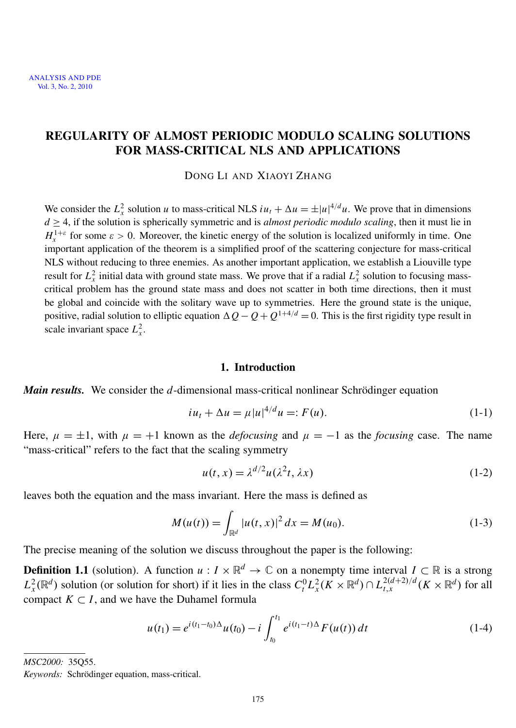### REGULARITY OF ALMOST PERIODIC MODULO SCALING SOLUTIONS FOR MASS-CRITICAL NLS AND APPLICATIONS

DONG LI AND XIAOYI ZHANG

We consider the  $L_x^2$  solution *u* to mass-critical NLS  $iu_t + \Delta u = \pm |u|^{4/d} u$ . We prove that in dimensions  $d \geq 4$ , if the solution is spherically symmetric and is *almost periodic modulo scaling*, then it must lie in  $H_x^{1+\varepsilon}$  for some  $\varepsilon > 0$ . Moreover, the kinetic energy of the solution is localized uniformly in time. One important application of the theorem is a simplified proof of the scattering conjecture for mass-critical NLS without reducing to three enemies. As another important application, we establish a Liouville type result for  $L_x^2$  initial data with ground state mass. We prove that if a radial  $L_x^2$  solution to focusing masscritical problem has the ground state mass and does not scatter in both time directions, then it must be global and coincide with the solitary wave up to symmetries. Here the ground state is the unique, positive, radial solution to elliptic equation  $\Delta Q - Q + Q^{1+4/d} = 0$ . This is the first rigidity type result in scale invariant space  $L_x^2$ .

#### <span id="page-1-0"></span>1. Introduction

*Main results.* We consider the *d*-dimensional mass-critical nonlinear Schrödinger equation

$$
iu_t + \Delta u = \mu |u|^{4/d} u =: F(u). \tag{1-1}
$$

Here,  $\mu = \pm 1$ , with  $\mu = +1$  known as the *defocusing* and  $\mu = -1$  as the *focusing* case. The name "mass-critical" refers to the fact that the scaling symmetry

$$
u(t, x) = \lambda^{d/2} u(\lambda^2 t, \lambda x)
$$
 (1-2)

leaves both the equation and the mass invariant. Here the mass is defined as

$$
M(u(t)) = \int_{\mathbb{R}^d} |u(t, x)|^2 dx = M(u_0).
$$
 (1-3)

The precise meaning of the solution we discuss throughout the paper is the following:

**Definition 1.1** (solution). A function  $u: I \times \mathbb{R}^d \to \mathbb{C}$  on a nonempty time interval  $I \subset \mathbb{R}$  is a strong  $L_x^2(\mathbb{R}^d)$  solution (or solution for short) if it lies in the class  $C_t^0 L_x^2(K \times \mathbb{R}^d) \cap L_{t,x}^{2(d+2)/d}(K \times \mathbb{R}^d)$  for all compact  $K \subset I$ , and we have the Duhamel formula

$$
u(t_1) = e^{i(t_1 - t_0)\Delta}u(t_0) - i \int_{t_0}^{t_1} e^{i(t_1 - t)\Delta} F(u(t)) dt
$$
 (1-4)

*MSC2000:* 35Q55.

*Keywords:* Schrödinger equation, mass-critical.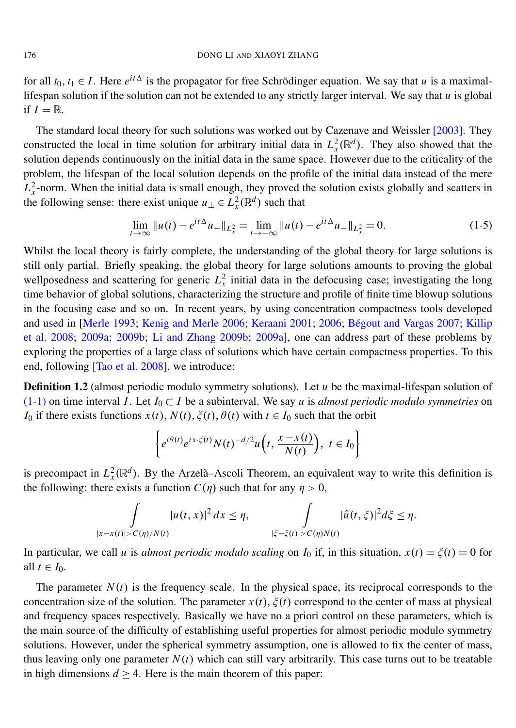for all  $t_0, t_1 \in I$ . Here  $e^{it\Delta}$  is the propagator for free Schrödinger equation. We say that u is a maximallifespan solution if the solution can not be extended to any strictly larger interval. We say that *u* is global if  $I = \mathbb{R}$ .

The standard local theory for such solutions was worked out by Cazenave and Weissler [\[2003\]](#page-20-0). They constructed the local in time solution for arbitrary initial data in  $L_x^2(\mathbb{R}^d)$ . They also showed that the solution depends continuously on the initial data in the same space. However due to the criticality of the problem, the lifespan of the local solution depends on the profile of the initial data instead of the mere  $L_x^2$ -norm. When the initial data is small enough, they proved the solution exists globally and scatters in the following sense: there exist unique  $u_{\pm} \in L^2_{x}(\mathbb{R}^d)$  such that

$$
\lim_{t \to \infty} \|u(t) - e^{it\Delta} u_+\|_{L_x^2} = \lim_{t \to -\infty} \|u(t) - e^{it\Delta} u_-\|_{L_x^2} = 0.
$$
\n(1-5)

Whilst the local theory is fairly complete, the understanding of the global theory for large solutions is still only partial. Briefly speaking, the global theory for large solutions amounts to proving the global wellposedness and scattering for generic  $L_x^2$  initial data in the defocusing case; investigating the long time behavior of global solutions, characterizing the structure and profile of finite time blowup solutions in the focusing case and so on. In recent years, by using concentration compactness tools developed and used in [\[Merle 1993;](#page-21-0) [Kenig and Merle 2006;](#page-20-1) [Keraani 2001;](#page-21-1) [2006;](#page-21-2) Bégout and Vargas 2007; [Killip](#page-21-3) [et al. 2008;](#page-21-3) [2009a;](#page-21-4) [2009b;](#page-21-5) [Li and Zhang 2009b;](#page-21-6) [2009a\]](#page-21-7), one can address part of these problems by exploring the properties of a large class of solutions which have certain compactness properties. To this end, following [\[Tao et al. 2008\]](#page-21-8), we introduce:

**Definition 1.2** (almost periodic modulo symmetry solutions). Let *u* be the maximal-lifespan solution of [\(1-1\)](#page-1-0) on time interval *I*. Let  $I_0 \subset I$  be a subinterval. We say *u* is *almost periodic modulo symmetries* on *I*<sub>0</sub> if there exists functions  $x(t)$ ,  $N(t)$ ,  $\xi(t)$ ,  $\theta(t)$  with  $t \in I_0$  such that the orbit

$$
\left\{ e^{i\theta(t)} e^{ix \cdot \xi(t)} N(t)^{-d/2} u\left(t, \frac{x - x(t)}{N(t)}\right), \ t \in I_0 \right\}
$$

is precompact in  $L_x^2(\mathbb{R}^d)$ . By the Arzelà–Ascoli Theorem, an equivalent way to write this definition is the following: there exists a function  $C(\eta)$  such that for any  $\eta > 0$ ,

$$
\int_{|x-x(t)|>C(\eta)/N(t)}|u(t,x)|^2\,dx\leq \eta,\qquad \int_{|\xi-\xi(t)|>C(\eta)N(t)}|\hat{u}(t,\xi)|^2d\xi\leq \eta.
$$

In particular, we call *u* is *almost periodic modulo scaling* on  $I_0$  if, in this situation,  $x(t) = \xi(t) \equiv 0$  for all  $t \in I_0$ .

<span id="page-2-0"></span>The parameter  $N(t)$  is the frequency scale. In the physical space, its reciprocal corresponds to the concentration size of the solution. The parameter  $x(t)$ ,  $\xi(t)$  correspond to the center of mass at physical and frequency spaces respectively. Basically we have no a priori control on these parameters, which is the main source of the difficulty of establishing useful properties for almost periodic modulo symmetry solutions. However, under the spherical symmetry assumption, one is allowed to fix the center of mass, thus leaving only one parameter  $N(t)$  which can still vary arbitrarily. This case turns out to be treatable in high dimensions  $d \geq 4$ . Here is the main theorem of this paper: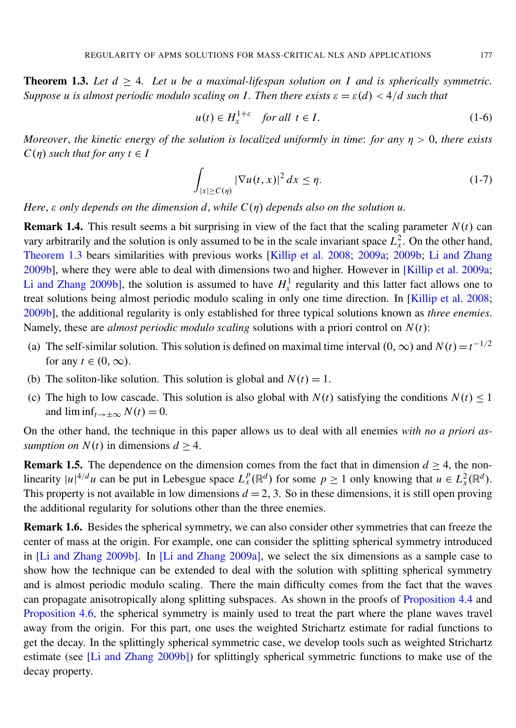**Theorem 1.3.** Let  $d \geq 4$ . Let u be a maximal-lifespan solution on I and is spherically symmetric. *Suppose u is almost periodic modulo scaling on I. Then there exists*  $\varepsilon = \varepsilon(d) < 4/d$  such that

$$
u(t) \in H_x^{1+\varepsilon} \quad \text{for all } t \in I. \tag{1-6}
$$

*Moreover*, *the kinetic energy of the solution is localized uniformly in time*: *for any* η > 0, *there exists*  $C(n)$  *such that for any*  $t \in I$ 

<span id="page-3-0"></span>
$$
\int_{|x| \ge C(\eta)} |\nabla u(t, x)|^2 dx \le \eta.
$$
 (1-7)

*Here*, ε *only depends on the dimension d*, *while C*(η) *depends also on the solution u.*

**Remark 1.4.** This result seems a bit surprising in view of the fact that the scaling parameter  $N(t)$  can vary arbitrarily and the solution is only assumed to be in the scale invariant space  $L<sub>x</sub><sup>2</sup>$ . On the other hand, [Theorem 1.3](#page-2-0) bears similarities with previous works [\[Killip et al. 2008;](#page-21-3) [2009a;](#page-21-4) [2009b;](#page-21-5) [Li and Zhang](#page-21-6) [2009b\]](#page-21-6), where they were able to deal with dimensions two and higher. However in [\[Killip et al. 2009a;](#page-21-4) [Li and Zhang 2009b\]](#page-21-6), the solution is assumed to have  $H_x^1$  regularity and this latter fact allows one to treat solutions being almost periodic modulo scaling in only one time direction. In [\[Killip et al. 2008;](#page-21-3) [2009b\]](#page-21-5), the additional regularity is only established for three typical solutions known as *three enemies*. Namely, these are *almost periodic modulo scaling* solutions with a priori control on *N*(*t*):

- (a) The self-similar solution. This solution is defined on maximal time interval  $(0, \infty)$  and  $N(t)=t^{-1/2}$ for any  $t \in (0, \infty)$ .
- (b) The soliton-like solution. This solution is global and  $N(t) = 1$ .
- (c) The high to low cascade. This solution is also global with  $N(t)$  satisfying the conditions  $N(t) \leq 1$ and  $\liminf_{t\to\pm\infty} N(t) = 0$ .

On the other hand, the technique in this paper allows us to deal with all enemies *with no a priori assumption on*  $N(t)$  in dimensions  $d \geq 4$ .

**Remark 1.5.** The dependence on the dimension comes from the fact that in dimension  $d \geq 4$ , the nonlinearity  $|u|^{4/d}u$  can be put in Lebesgue space  $L_x^p(\mathbb{R}^d)$  for some  $p \ge 1$  only knowing that  $u \in L_x^2(\mathbb{R}^d)$ . This property is not available in low dimensions  $d = 2, 3$ . So in these dimensions, it is still open proving the additional regularity for solutions other than the three enemies.

<span id="page-3-1"></span>Remark 1.6. Besides the spherical symmetry, we can also consider other symmetries that can freeze the center of mass at the origin. For example, one can consider the splitting spherical symmetry introduced in [\[Li and Zhang 2009b\]](#page-21-6). In [\[Li and Zhang 2009a\]](#page-21-7), we select the six dimensions as a sample case to show how the technique can be extended to deal with the solution with splitting spherical symmetry and is almost periodic modulo scaling. There the main difficulty comes from the fact that the waves can propagate anisotropically along splitting subspaces. As shown in the proofs of [Proposition 4.4](#page-13-0) and [Proposition 4.6,](#page-13-1) the spherical symmetry is mainly used to treat the part where the plane waves travel away from the origin. For this part, one uses the weighted Strichartz estimate for radial functions to get the decay. In the splittingly spherical symmetric case, we develop tools such as weighted Strichartz estimate (see [\[Li and Zhang 2009b\]](#page-21-6)) for splittingly spherical symmetric functions to make use of the decay property.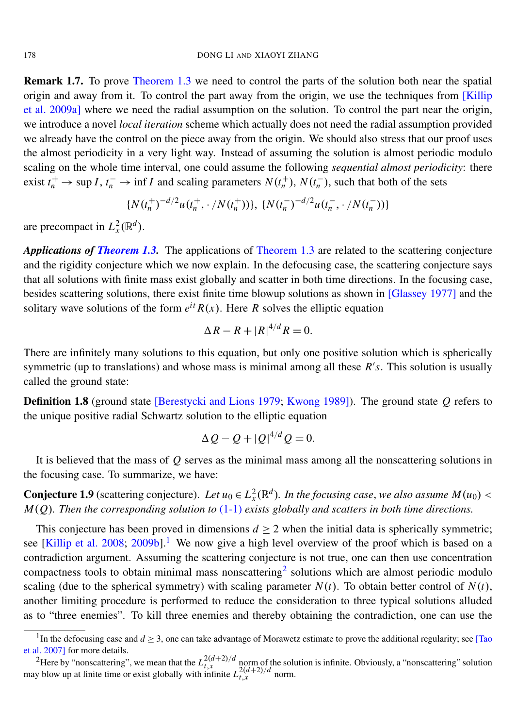Remark 1.7. To prove [Theorem 1.3](#page-2-0) we need to control the parts of the solution both near the spatial origin and away from it. To control the part away from the origin, we use the techniques from [\[Killip](#page-21-4)] [et al. 2009a\]](#page-21-4) where we need the radial assumption on the solution. To control the part near the origin, we introduce a novel *local iteration* scheme which actually does not need the radial assumption provided we already have the control on the piece away from the origin. We should also stress that our proof uses the almost periodicity in a very light way. Instead of assuming the solution is almost periodic modulo scaling on the whole time interval, one could assume the following *sequential almost periodicity*: there exist  $t_n^+ \to \sup I$ ,  $t_n^- \to \inf I$  and scaling parameters  $N(t_n^+)$ ,  $N(t_n^-)$ , such that both of the sets

$$
{N(t_n^+)}^{-d/2}u(t_n^+,\cdot/N(t_n^+))\},\, {N(t_n^-)}^{-d/2}u(t_n^-,\cdot/N(t_n^-))\}
$$

are precompact in  $L_x^2(\mathbb{R}^d)$ .

*Applications of [Theorem 1.3.](#page-2-0)* The applications of [Theorem 1.3](#page-2-0) are related to the scattering conjecture and the rigidity conjecture which we now explain. In the defocusing case, the scattering conjecture says that all solutions with finite mass exist globally and scatter in both time directions. In the focusing case, besides scattering solutions, there exist finite time blowup solutions as shown in [\[Glassey 1977\]](#page-20-3) and the solitary wave solutions of the form  $e^{it} R(x)$ . Here R solves the elliptic equation

$$
\Delta R - R + |R|^{4/d} R = 0.
$$

There are infinitely many solutions to this equation, but only one positive solution which is spherically symmetric (up to translations) and whose mass is minimal among all these  $R's$ . This solution is usually called the ground state:

<span id="page-4-2"></span>Definition 1.8 (ground state [\[Berestycki and Lions 1979;](#page-20-4) [Kwong 1989\]](#page-21-9)). The ground state *Q* refers to the unique positive radial Schwartz solution to the elliptic equation

$$
\Delta Q - Q + |Q|^{4/d} Q = 0.
$$

It is believed that the mass of *Q* serves as the minimal mass among all the nonscattering solutions in the focusing case. To summarize, we have:

**Conjecture 1.9** (scattering conjecture). Let  $u_0 \in L^2_x(\mathbb{R}^d)$ . In the focusing case, we also assume  $M(u_0)$  < *M*(*Q*)*. Then the corresponding solution to* [\(1-1\)](#page-1-0) *exists globally and scatters in both time directions.*

This conjecture has been proved in dimensions  $d \geq 2$  when the initial data is spherically symmetric; see [\[Killip et al. 2008;](#page-21-3) [2009b\]](#page-21-5).<sup>[1](#page-4-0)</sup> We now give a high level overview of the proof which is based on a contradiction argument. Assuming the scattering conjecture is not true, one can then use concentration compactness tools to obtain minimal mass nonscattering<sup>[2](#page-4-1)</sup> solutions which are almost periodic modulo scaling (due to the spherical symmetry) with scaling parameter  $N(t)$ . To obtain better control of  $N(t)$ , another limiting procedure is performed to reduce the consideration to three typical solutions alluded as to "three enemies". To kill three enemies and thereby obtaining the contradiction, one can use the

<span id="page-4-0"></span><sup>&</sup>lt;sup>1</sup>In the defocusing case and  $d \ge 3$ , one can take advantage of Morawetz estimate to prove the additional regularity; see [\[Tao](#page-21-10) [et al. 2007\]](#page-21-10) for more details.

<span id="page-4-1"></span><sup>&</sup>lt;sup>2</sup>Here by "nonscattering", we mean that the  $L_{t,x}^{2(d+2)/d}$  norm of the solution is infinite. Obviously, a "nonscattering" solution may blow up at finite time or exist globally with infinite  $L_{t,x}^{2(d+2)/d}$  norm.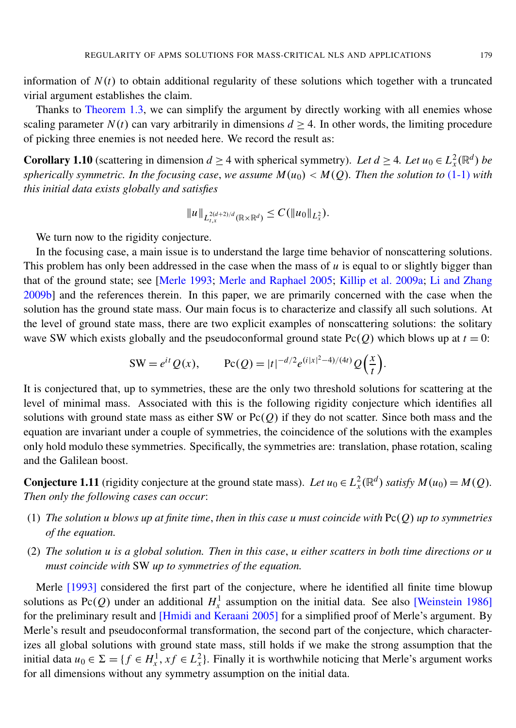information of  $N(t)$  to obtain additional regularity of these solutions which together with a truncated virial argument establishes the claim.

Thanks to [Theorem 1.3,](#page-2-0) we can simplify the argument by directly working with all enemies whose scaling parameter  $N(t)$  can vary arbitrarily in dimensions  $d \geq 4$ . In other words, the limiting procedure of picking three enemies is not needed here. We record the result as:

<span id="page-5-0"></span>**Corollary 1.10** (scattering in dimension  $d \ge 4$  with spherical symmetry). Let  $d \ge 4$ . Let  $u_0 \in L_x^2(\mathbb{R}^d)$  be *spherically symmetric. In the focusing case, we assume*  $M(u_0) < M(Q)$ . Then the solution to [\(1-1\)](#page-1-0) with *this initial data exists globally and satisfies*

$$
||u||_{L^{2(d+2)/d}_{t,x}(\mathbb{R}\times\mathbb{R}^d)} \leq C(||u_0||_{L^2_x}).
$$

We turn now to the rigidity conjecture.

In the focusing case, a main issue is to understand the large time behavior of nonscattering solutions. This problem has only been addressed in the case when the mass of  $u$  is equal to or slightly bigger than that of the ground state; see [\[Merle 1993;](#page-21-0) [Merle and Raphael 2005;](#page-21-11) [Killip et al. 2009a;](#page-21-4) [Li and Zhang](#page-21-6) [2009b\]](#page-21-6) and the references therein. In this paper, we are primarily concerned with the case when the solution has the ground state mass. Our main focus is to characterize and classify all such solutions. At the level of ground state mass, there are two explicit examples of nonscattering solutions: the solitary wave SW which exists globally and the pseudoconformal ground state  $Pc(Q)$  which blows up at  $t = 0$ :

$$
SW = e^{it} Q(x), \qquad \text{Pc}(Q) = |t|^{-d/2} e^{(i|x|^2 - 4)/(4t)} Q\left(\frac{x}{t}\right).
$$

It is conjectured that, up to symmetries, these are the only two threshold solutions for scattering at the level of minimal mass. Associated with this is the following rigidity conjecture which identifies all solutions with ground state mass as either SW or Pc(*Q*) if they do not scatter. Since both mass and the equation are invariant under a couple of symmetries, the coincidence of the solutions with the examples only hold modulo these symmetries. Specifically, the symmetries are: translation, phase rotation, scaling and the Galilean boost.

**Conjecture 1.11** (rigidity conjecture at the ground state mass). Let  $u_0 \in L^2_x(\mathbb{R}^d)$  *satisfy*  $M(u_0) = M(Q)$ . *Then only the following cases can occur*:

- (1) *The solution u blows up at finite time*, *then in this case u must coincide with* Pc(*Q*) *up to symmetries of the equation.*
- (2) *The solution u is a global solution. Then in this case*, *u either scatters in both time directions or u must coincide with* SW *up to symmetries of the equation.*

Merle [\[1993\]](#page-21-0) considered the first part of the conjecture, where he identified all finite time blowup solutions as Pc(*Q*) under an additional  $H_x^1$  assumption on the initial data. See also [\[Weinstein 1986\]](#page-21-12) for the preliminary result and [\[Hmidi and Keraani 2005\]](#page-20-5) for a simplified proof of Merle's argument. By Merle's result and pseudoconformal transformation, the second part of the conjecture, which characterizes all global solutions with ground state mass, still holds if we make the strong assumption that the initial data  $u_0 \in \Sigma = \{f \in H_x^1, x f \in L_x^2\}$ . Finally it is worthwhile noticing that Merle's argument works for all dimensions without any symmetry assumption on the initial data.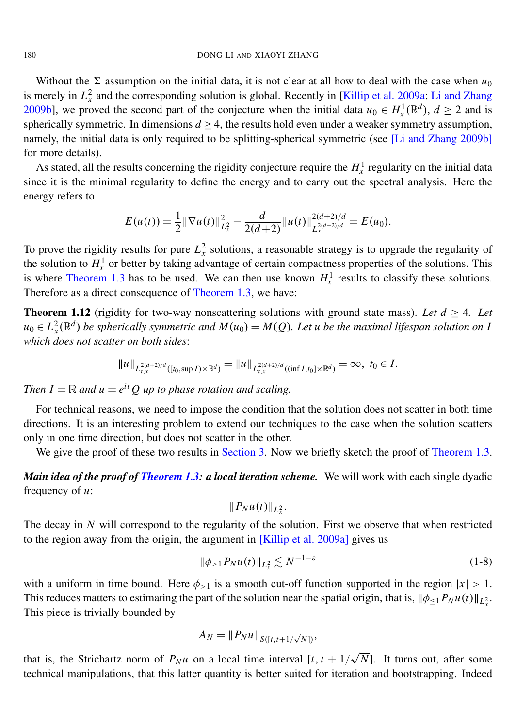Without the  $\Sigma$  assumption on the initial data, it is not clear at all how to deal with the case when  $u_0$ is merely in  $L_x^2$  and the corresponding solution is global. Recently in [\[Killip et al. 2009a;](#page-21-4) [Li and Zhang](#page-21-6) [2009b\]](#page-21-6), we proved the second part of the conjecture when the initial data  $u_0 \in H^1_\chi(\mathbb{R}^d)$ ,  $d \ge 2$  and is spherically symmetric. In dimensions  $d \geq 4$ , the results hold even under a weaker symmetry assumption, namely, the initial data is only required to be splitting-spherical symmetric (see [\[Li and Zhang 2009b\]](#page-21-6) for more details).

As stated, all the results concerning the rigidity conjecture require the  $H^1_\lambda$  regularity on the initial data since it is the minimal regularity to define the energy and to carry out the spectral analysis. Here the energy refers to

$$
E(u(t)) = \frac{1}{2} \|\nabla u(t)\|_{L_x^2}^2 - \frac{d}{2(d+2)} \|u(t)\|_{L_x^{2(d+2)/d}}^{2(d+2)/d} = E(u_0).
$$

To prove the rigidity results for pure  $L_x^2$  solutions, a reasonable strategy is to upgrade the regularity of the solution to  $H_x^1$  or better by taking advantage of certain compactness properties of the solutions. This is where [Theorem 1.3](#page-2-0) has to be used. We can then use known  $H_x^1$  results to classify these solutions. Therefore as a direct consequence of [Theorem 1.3,](#page-2-0) we have:

<span id="page-6-0"></span>**Theorem 1.12** (rigidity for two-way nonscattering solutions with ground state mass). Let  $d \geq 4$ . Let  $u_0 \in L^2_x(\mathbb{R}^d)$  *be spherically symmetric and*  $M(u_0) = M(Q)$ *. Let u be the maximal lifespan solution on* I *which does not scatter on both sides*:

$$
||u||_{L_{t,x}^{2(d+2)/d}([t_0,\sup I)\times\mathbb{R}^d)}=||u||_{L_{t,x}^{2(d+2)/d}((\inf I,t_0]\times\mathbb{R}^d)}=\infty, t_0\in I.
$$

*Then*  $I = \mathbb{R}$  *and*  $u = e^{it} Q$  *up to phase rotation and scaling.* 

For technical reasons, we need to impose the condition that the solution does not scatter in both time directions. It is an interesting problem to extend our techniques to the case when the solution scatters only in one time direction, but does not scatter in the other.

We give the proof of these two results in [Section 3.](#page-11-0) Now we briefly sketch the proof of [Theorem 1.3.](#page-2-0)

*Main idea of the proof of [Theorem 1.3:](#page-2-0) a local iteration scheme.* We will work with each single dyadic frequency of *u*:

$$
||P_Nu(t)||_{L_x^2}.
$$

The decay in *N* will correspond to the regularity of the solution. First we observe that when restricted to the region away from the origin, the argument in [\[Killip et al. 2009a\]](#page-21-4) gives us

$$
\|\phi_{>1} P_N u(t)\|_{L^2_x} \lesssim N^{-1-\varepsilon} \tag{1-8}
$$

with a uniform in time bound. Here  $\phi_{>1}$  is a smooth cut-off function supported in the region  $|x| > 1$ . This reduces matters to estimating the part of the solution near the spatial origin, that is,  $\|\phi_{\leq 1}P_Nu(t)\|_{L^2_x}$ . This piece is trivially bounded by

$$
A_N = \|P_N u\|_{S([t,t+1/\sqrt{N}])},
$$

that is, the Strichartz norm of  $P_N u$  on a local time interval  $[t, t + 1/$ √  $\overline{N}$ ]. It turns out, after some technical manipulations, that this latter quantity is better suited for iteration and bootstrapping. Indeed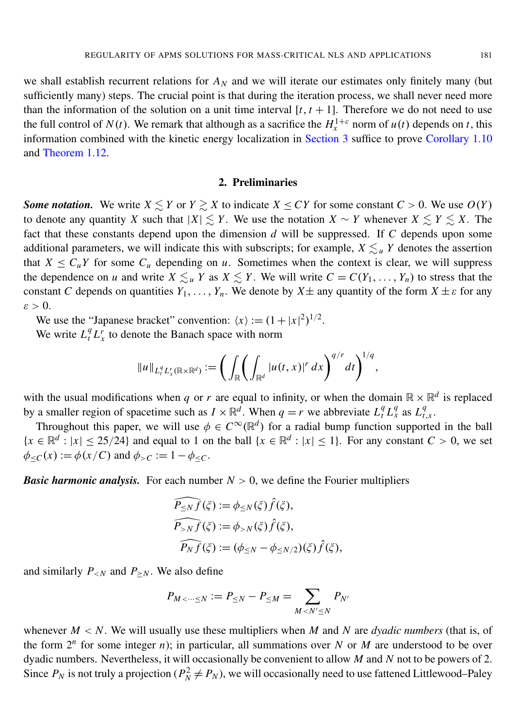we shall establish recurrent relations for  $A_N$  and we will iterate our estimates only finitely many (but sufficiently many) steps. The crucial point is that during the iteration process, we shall never need more than the information of the solution on a unit time interval  $[t, t + 1]$ . Therefore we do not need to use the full control of  $N(t)$ . We remark that although as a sacrifice the  $H_x^{1+\varepsilon}$  norm of  $u(t)$  depends on *t*, this information combined with the kinetic energy localization in [Section 3](#page-11-0) suffice to prove [Corollary 1.10](#page-5-0) and [Theorem 1.12.](#page-6-0)

#### 2. Preliminaries

*Some notation.* We write  $X \leq Y$  or  $Y \geq X$  to indicate  $X \leq CY$  for some constant  $C > 0$ . We use  $O(Y)$ to denote any quantity *X* such that  $|X| \le Y$ . We use the notation  $X \sim Y$  whenever  $X \le Y \le X$ . The fact that these constants depend upon the dimension *d* will be suppressed. If *C* depends upon some additional parameters, we will indicate this with subscripts; for example,  $X \leq u$  *Y* denotes the assertion that  $X \leq C_u Y$  for some  $C_u$  depending on *u*. Sometimes when the context is clear, we will suppress the dependence on *u* and write  $X \leq u$  *Y* as  $X \leq Y$ . We will write  $C = C(Y_1, \ldots, Y_n)$  to stress that the constant *C* depends on quantities  $Y_1, \ldots, Y_n$ . We denote by  $X \pm \text{ any quantity of the form } X \pm \varepsilon$  for any  $\varepsilon > 0$ .

We use the "Japanese bracket" convention:  $\langle x \rangle := (1 + |x|^2)^{1/2}$ .

We write  $L_t^q L_x^r$  to denote the Banach space with norm

$$
||u||_{L_t^q L_x^r(\mathbb{R}\times\mathbb{R}^d)} := \bigg( \int_{\mathbb{R}} \bigg( \int_{\mathbb{R}^d} |u(t,x)|^r dx \bigg)^{q/r} dt \bigg)^{1/q},
$$

with the usual modifications when *q* or *r* are equal to infinity, or when the domain  $\mathbb{R} \times \mathbb{R}^d$  is replaced by a smaller region of spacetime such as  $I \times \mathbb{R}^d$ . When  $q = r$  we abbreviate  $L_t^q L_x^q$  as  $L_t^q$ *t*,*x* .

Throughout this paper, we will use  $\phi \in C^{\infty}(\mathbb{R}^d)$  for a radial bump function supported in the ball  ${x \in \mathbb{R}^d : |x| \le 25/24}$  and equal to 1 on the ball  ${x \in \mathbb{R}^d : |x| \le 1}$ . For any constant  $C > 0$ , we set  $\phi_{\leq C}(x) := \phi(x/C)$  and  $\phi_{>C} := 1 - \phi_{\leq C}$ .

*Basic harmonic analysis.* For each number  $N > 0$ , we define the Fourier multipliers

$$
\widehat{P_{\leq N}f}(\xi) := \phi_{\leq N}(\xi)\widehat{f}(\xi),
$$
  

$$
\widehat{P_{>N}f}(\xi) := \phi_{>N}(\xi)\widehat{f}(\xi),
$$
  

$$
\widehat{P_Nf}(\xi) := (\phi_{\leq N} - \phi_{\leq N/2})(\xi)\widehat{f}(\xi),
$$

and similarly  $P_{\leq N}$  and  $P_{\geq N}$ . We also define

$$
P_{M < \dots \leq N} := P_{\leq N} - P_{\leq M} = \sum_{M < N' \leq N} P_{N'}
$$

whenever  $M < N$ . We will usually use these multipliers when M and N are *dyadic numbers* (that is, of the form  $2^n$  for some integer *n*); in particular, all summations over *N* or *M* are understood to be over dyadic numbers. Nevertheless, it will occasionally be convenient to allow *M* and *N* not to be powers of 2. Since  $P_N$  is not truly a projection ( $P_N^2 \neq P_N$ ), we will occasionally need to use fattened Littlewood–Paley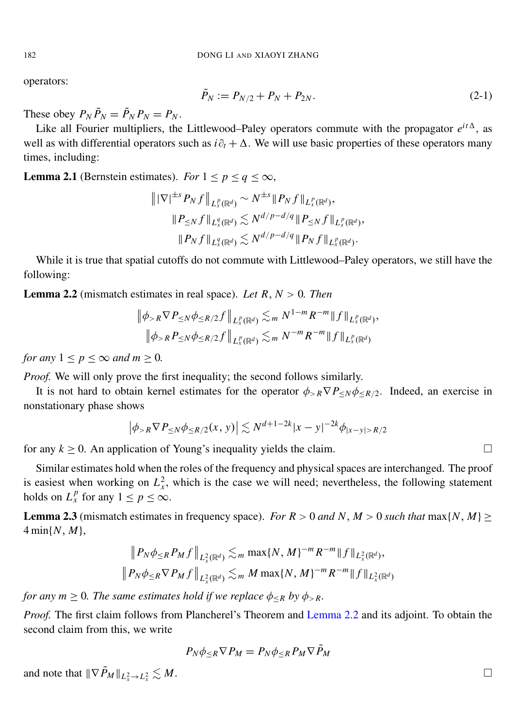operators:

$$
\tilde{P}_N := P_{N/2} + P_N + P_{2N}.
$$
\n(2-1)

These obey  $P_N \tilde{P}_N = \tilde{P}_N P_N = P_N$ .

Like all Fourier multipliers, the Littlewood–Paley operators commute with the propagator  $e^{it\Delta}$ , as well as with differential operators such as *i*∂*<sup>t</sup>* + 1. We will use basic properties of these operators many times, including:

**Lemma 2.1** (Bernstein estimates). *For*  $1 \leq p \leq q \leq \infty$ ,

$$
\|\nabla|^{\pm s} P_N f\|_{L_x^p(\mathbb{R}^d)} \sim N^{\pm s} \|P_N f\|_{L_x^p(\mathbb{R}^d)},
$$
  

$$
\|P_{\leq N} f\|_{L_x^q(\mathbb{R}^d)} \lesssim N^{d/p - d/q} \|P_{\leq N} f\|_{L_x^p(\mathbb{R}^d)},
$$
  

$$
\|P_N f\|_{L_x^q(\mathbb{R}^d)} \lesssim N^{d/p - d/q} \|P_N f\|_{L_x^p(\mathbb{R}^d)}.
$$

While it is true that spatial cutoffs do not commute with Littlewood–Paley operators, we still have the following:

<span id="page-8-0"></span>**Lemma 2.2** (mismatch estimates in real space). Let  $R, N > 0$ . Then

$$
\|\phi_{>R} \nabla P_{\leq N} \phi_{\leq R/2} f\|_{L_x^p(\mathbb{R}^d)} \lesssim_m N^{1-m} R^{-m} \|f\|_{L_x^p(\mathbb{R}^d)},
$$
  

$$
\|\phi_{>R} P_{\leq N} \phi_{\leq R/2} f\|_{L_x^p(\mathbb{R}^d)} \lesssim_m N^{-m} R^{-m} \|f\|_{L_x^p(\mathbb{R}^d)}
$$

*for any*  $1 \leq p \leq \infty$  *and*  $m \geq 0$ *.* 

*Proof.* We will only prove the first inequality; the second follows similarly.

It is not hard to obtain kernel estimates for the operator  $\phi_{\geq R} \nabla P_{\leq N} \phi_{\leq R/2}$ . Indeed, an exercise in nonstationary phase shows

$$
\left|\phi_{>R}\nabla P_{\leq N}\phi_{\leq R/2}(x,\,y)\right|\lesssim N^{d+1-2k}|x-y|^{-2k}\phi_{|x-y|>R/2}
$$

for any  $k \ge 0$ . An application of Young's inequality yields the claim.

Similar estimates hold when the roles of the frequency and physical spaces are interchanged. The proof is easiest when working on  $L_x^2$ , which is the case we will need; nevertheless, the following statement holds on  $L_x^p$  for any  $1 \leq p \leq \infty$ .

<span id="page-8-1"></span>**Lemma 2.3** (mismatch estimates in frequency space). *For R* > 0 *and N*, *M* > 0 *such that* max{*N*, *M*} 4 min{*N*, *M*},

$$
\| P_N \phi_{\leq R} P_M f \|_{L^2_x(\mathbb{R}^d)} \lesssim_m \max\{N, M\}^{-m} R^{-m} \|f\|_{L^2_x(\mathbb{R}^d)},
$$
  

$$
\| P_N \phi_{\leq R} \nabla P_M f \|_{L^2_x(\mathbb{R}^d)} \lesssim_m M \max\{N, M\}^{-m} R^{-m} \|f\|_{L^2_x(\mathbb{R}^d)}
$$

*for any*  $m \geq 0$ *. The same estimates hold if we replace*  $\phi_{\leq R}$  *by*  $\phi_{>R}$ *.* 

*Proof.* The first claim follows from Plancherel's Theorem and [Lemma 2.2](#page-8-0) and its adjoint. To obtain the second claim from this, we write

$$
P_N \phi_{\leq R} \nabla P_M = P_N \phi_{\leq R} P_M \nabla \tilde{P}_M
$$

and note that  $\|\nabla \tilde{P}_M\|_{L^2_x \to L^2_x}$  $\lesssim M$ .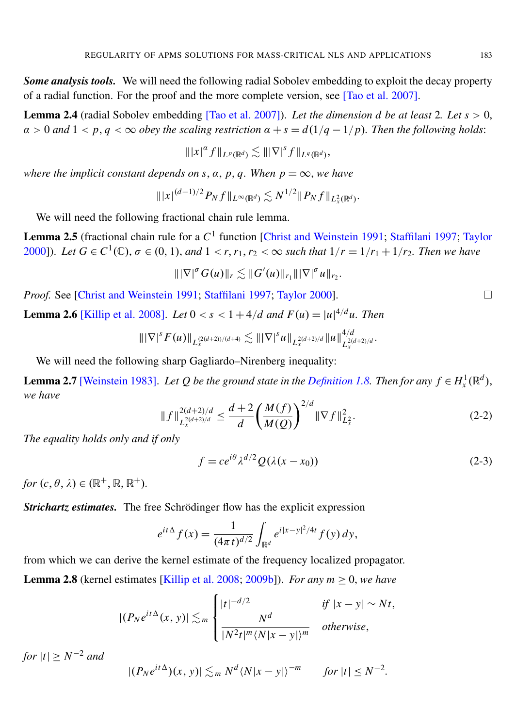**Some analysis tools.** We will need the following radial Sobolev embedding to exploit the decay property of a radial function. For the proof and the more complete version, see [\[Tao et al. 2007\]](#page-21-10).

Lemma 2.4 (radial Sobolev embedding [\[Tao et al. 2007\]](#page-21-10)). *Let the dimension d be at least* 2*. Let s* > 0,  $\alpha > 0$  and  $1 < p, q < \infty$  obey the scaling restriction  $\alpha + s = d(1/q - 1/p)$ . Then the following holds:

$$
\||x|^{\alpha} f\|_{L^p(\mathbb{R}^d)} \lesssim \||\nabla|^s f\|_{L^q(\mathbb{R}^d)},
$$

*where the implicit constant depends on s,*  $\alpha$ *,*  $p$ *,*  $q$ *. When*  $p = \infty$ *, we have* 

$$
\| |x|^{(d-1)/2} P_N f \|_{L^{\infty}(\mathbb{R}^d)} \lesssim N^{1/2} \| P_N f \|_{L^2_x(\mathbb{R}^d)}.
$$

We will need the following fractional chain rule lemma.

Lemma 2.5 (fractional chain rule for a  $C^1$  function [\[Christ and Weinstein 1991;](#page-20-6) [Staffilani 1997;](#page-21-13) [Taylor](#page-21-14) [2000\]](#page-21-14)). Let  $G \in C^1(\mathbb{C})$ ,  $\sigma \in (0, 1)$ , and  $1 < r, r_1, r_2 < \infty$  such that  $1/r = 1/r_1 + 1/r_2$ . Then we have

$$
\||\nabla|^{\sigma} G(u)\|_{r} \lesssim ||G'(u)||_{r_1} |||\nabla|^{\sigma} u||_{r_2}.
$$

*Proof.* See [\[Christ and Weinstein 1991;](#page-20-6) [Staffilani 1997;](#page-21-13) [Taylor 2000\]](#page-21-14). □

<span id="page-9-1"></span>**Lemma 2.6** [\[Killip et al. 2008\]](#page-21-3). *Let*  $0 < s < 1 + 4/d$  *and*  $F(u) = |u|^{4/d}u$ . *Then* 

$$
\|\nabla|^s F(u)\|_{L_x^{(2(d+2))/(d+4)}} \lesssim \|\nabla|^s u\|_{L_x^{2(d+2)/d}} \|u\|_{L_x^{2(d+2)/d}}^{4/d}
$$

<span id="page-9-0"></span>We will need the following sharp Gagliardo–Nirenberg inequality:

**Lemma 2.7** [\[Weinstein 1983\]](#page-21-15). Let Q be the ground state in the [Definition 1.8.](#page-4-2) Then for any  $f \in H_x^1(\mathbb{R}^d)$ , *we have*

$$
||f||_{L_x^{2(d+2)/d}}^{2(d+2)/d} \le \frac{d+2}{d} \left(\frac{M(f)}{M(Q)}\right)^{2/d} ||\nabla f||_{L_x^2}^2.
$$
 (2-2)

*The equality holds only and if only*

$$
f = ce^{i\theta} \lambda^{d/2} Q(\lambda(x - x_0))
$$
 (2-3)

.

*for*  $(c, \theta, \lambda) \in (\mathbb{R}^+, \mathbb{R}, \mathbb{R}^+).$ 

*Strichartz estimates.* The free Schrödinger flow has the explicit expression

$$
e^{it\Delta} f(x) = \frac{1}{(4\pi t)^{d/2}} \int_{\mathbb{R}^d} e^{i|x-y|^2/4t} f(y) dy,
$$

from which we can derive the kernel estimate of the frequency localized propagator. **Lemma 2.8** (kernel estimates [\[Killip et al. 2008;](#page-21-3) [2009b\]](#page-21-5)). *For any m*  $\geq$  0, *we have* 

$$
|(P_N e^{it\Delta}(x, y))| \lesssim_m \begin{cases} |t|^{-d/2} & \text{if } |x - y| \sim Nt, \\ \frac{N^d}{|N^2 t|^m \langle N | x - y | \rangle^m} & otherwise, \end{cases}
$$

*for*  $|t| \ge N^{-2}$  *and* 

$$
|(P_N e^{it\Delta})(x, y)| \lesssim_m N^d \langle N|x - y| \rangle^{-m} \quad \text{for } |t| \le N^{-2}.
$$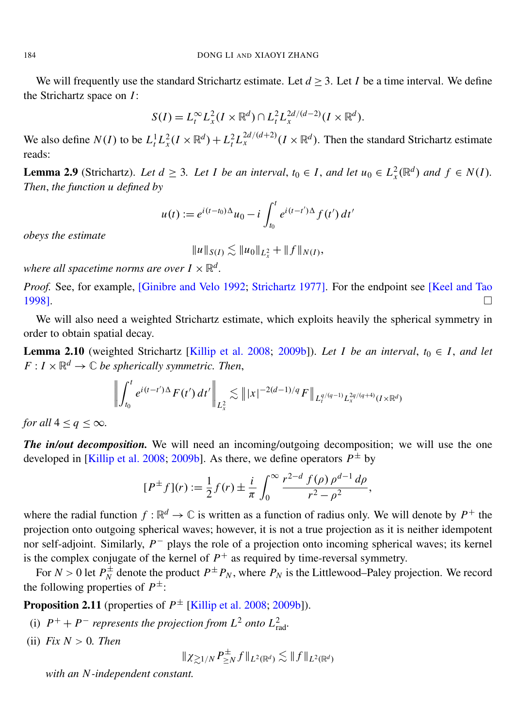We will frequently use the standard Strichartz estimate. Let  $d \geq 3$ . Let *I* be a time interval. We define the Strichartz space on *I*:

$$
S(I) = L_t^{\infty} L_x^2(I \times \mathbb{R}^d) \cap L_t^2 L_x^{2d/(d-2)}(I \times \mathbb{R}^d).
$$

We also define  $N(I)$  to be  $L_t^1 L_x^2 (I \times \mathbb{R}^d) + L_t^2 L_x^{2d/(d+2)} (I \times \mathbb{R}^d)$ . Then the standard Strichartz estimate reads:

**Lemma 2.9** (Strichartz). Let  $d \geq 3$ . Let I be an interval,  $t_0 \in I$ , and let  $u_0 \in L_x^2(\mathbb{R}^d)$  and  $f \in N(I)$ . *Then*, *the function u defined by*

$$
u(t) := e^{i(t-t_0)\Delta}u_0 - i \int_{t_0}^t e^{i(t-t')\Delta} f(t') dt'
$$

*obeys the estimate*

$$
||u||_{S(I)} \lesssim ||u_0||_{L_x^2} + ||f||_{N(I)},
$$

where all spacetime norms are over  $I\times\mathbb{R}^d$ .

*Proof.* See, for example, [\[Ginibre and Velo 1992;](#page-20-7) [Strichartz 1977\]](#page-21-16). For the endpoint see [\[Keel and Tao](#page-20-8) [1998\]](#page-20-8).

We will also need a weighted Strichartz estimate, which exploits heavily the spherical symmetry in order to obtain spatial decay.

<span id="page-10-0"></span>**Lemma 2.10** (weighted Strichartz [\[Killip et al. 2008;](#page-21-3) [2009b\]](#page-21-5)). *Let I be an interval*,  $t_0 \in I$ , and let  $F: I \times \mathbb{R}^d \to \mathbb{C}$  *be spherically symmetric. Then,* 

$$
\left\| \int_{t_0}^t e^{i(t-t')\Delta} F(t') dt' \right\|_{L^2_x} \lesssim \| |x|^{-2(d-1)/q} F \|_{L^{q/(q-1)}_t L^{2q/(q+4)}_x(I \times \mathbb{R}^d)}
$$

*for all*  $4 \leq q \leq \infty$ *.* 

*The in/out decomposition.* We will need an incoming/outgoing decomposition; we will use the one developed in [\[Killip et al. 2008;](#page-21-3) [2009b\]](#page-21-5). As there, we define operators  $P^{\pm}$  by

$$
[P^{\pm} f](r) := \frac{1}{2} f(r) \pm \frac{i}{\pi} \int_0^{\infty} \frac{r^{2-d} f(\rho) \rho^{d-1} d\rho}{r^2 - \rho^2},
$$

where the radial function  $f : \mathbb{R}^d \to \mathbb{C}$  is written as a function of radius only. We will denote by  $P^+$  the projection onto outgoing spherical waves; however, it is not a true projection as it is neither idempotent nor self-adjoint. Similarly, *P*<sup>−</sup> plays the role of a projection onto incoming spherical waves; its kernel is the complex conjugate of the kernel of  $P^+$  as required by time-reversal symmetry.

For  $N > 0$  let  $P_N^{\pm}$  $N^{\pm}$  denote the product  $P^{\pm}P_N$ , where  $P_N$  is the Littlewood–Paley projection. We record the following properties of  $P^{\pm}$ :

<span id="page-10-1"></span>**Proposition 2.11** (properties of  $P^{\pm}$  [\[Killip et al. 2008;](#page-21-3) [2009b\]](#page-21-5)).

- (i)  $P^+ + P^-$  *represents the projection from*  $L^2$  *onto*  $L^2_{\text{rad}}$ *.*
- (ii)  $Fix N > 0$ . Then

 $\|\chi_{\gtrsim 1/N} P_{\geq i}^{\pm}$  $\sum_{i=1}^{N} f \Vert_{L^2(\mathbb{R}^d)} \lesssim \Vert f \Vert_{L^2(\mathbb{R}^d)}$ 

*with an N -independent constant.*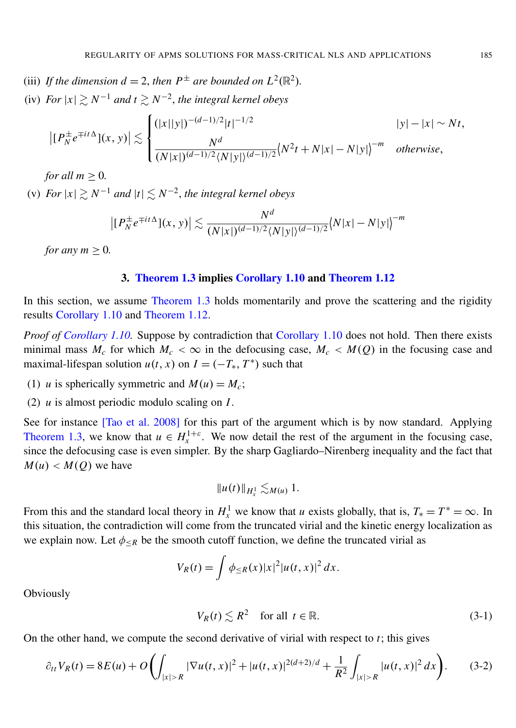- (iii) If the dimension  $d = 2$ , then  $P^{\pm}$  are bounded on  $L^2(\mathbb{R}^2)$ .
- (iv) *For*  $|x|$   $\gtrsim N^{-1}$  *and*  $t \gtrsim N^{-2}$ , *the integral kernel obeys*

$$
\left| [P_N^{\pm} e^{\mp it\Delta}](x, y) \right| \lesssim \begin{cases} (|x||y|)^{-(d-1)/2} |t|^{-1/2} & |y| - |x| \sim Nt, \\ \frac{N^d}{(N|x|)^{(d-1)/2} \langle N|y| \rangle^{(d-1)/2}} \langle N^2 t + N|x| - N|y| \rangle^{-m} & otherwise, \end{cases}
$$

*for all*  $m > 0$ *.* 

(v) *For*  $|x|$   $\gtrsim N^{-1}$  *and*  $|t|$   $\lesssim N^{-2}$ *, the integral kernel obeys* 

$$
\left| \left[ P_N^{\pm} e^{\mp it\Delta} \right] (x, y) \right| \lesssim \frac{N^d}{(N|x|)^{(d-1)/2} \langle N|y| \rangle^{(d-1)/2}} \langle N|x| - N|y| \rangle^{-m}
$$

*for any*  $m \geq 0$ *.* 

#### 3. [Theorem 1.3](#page-2-0) implies [Corollary 1.10](#page-5-0) and [Theorem 1.12](#page-6-0)

<span id="page-11-0"></span>In this section, we assume [Theorem 1.3](#page-2-0) holds momentarily and prove the scattering and the rigidity results [Corollary 1.10](#page-5-0) and [Theorem 1.12.](#page-6-0)

*Proof of [Corollary 1.10.](#page-5-0)* Suppose by contradiction that [Corollary 1.10](#page-5-0) does not hold. Then there exists minimal mass  $M_c$  for which  $M_c < \infty$  in the defocusing case,  $M_c < M(Q)$  in the focusing case and maximal-lifespan solution  $u(t, x)$  on  $I = (-T_*, T^*)$  such that

- (1) *u* is spherically symmetric and  $M(u) = M_c$ ;
- (2) *u* is almost periodic modulo scaling on *I*.

See for instance [\[Tao et al. 2008\]](#page-21-8) for this part of the argument which is by now standard. Applying [Theorem 1.3,](#page-2-0) we know that  $u \in H^{1+\varepsilon}_x$ . We now detail the rest of the argument in the focusing case, since the defocusing case is even simpler. By the sharp Gagliardo–Nirenberg inequality and the fact that  $M(u) < M(Q)$  we have

$$
||u(t)||_{H_x^1} \lesssim_{M(u)} 1.
$$

From this and the standard local theory in  $H_x^1$  we know that *u* exists globally, that is,  $T_* = T^* = \infty$ . In this situation, the contradiction will come from the truncated virial and the kinetic energy localization as we explain now. Let  $\phi_{\leq R}$  be the smooth cutoff function, we define the truncated virial as

$$
V_R(t) = \int \phi_{\leq R}(x) |x|^2 |u(t, x)|^2 dx.
$$

**Obviously** 

<span id="page-11-2"></span><span id="page-11-1"></span>
$$
V_R(t) \lesssim R^2 \quad \text{for all } t \in \mathbb{R}.\tag{3-1}
$$

On the other hand, we compute the second derivative of virial with respect to *t*; this gives

$$
\partial_{tt} V_R(t) = 8E(u) + O\left(\int_{|x|>R} |\nabla u(t,x)|^2 + |u(t,x)|^{2(d+2)/d} + \frac{1}{R^2} \int_{|x|>R} |u(t,x)|^2 dx\right).
$$
 (3-2)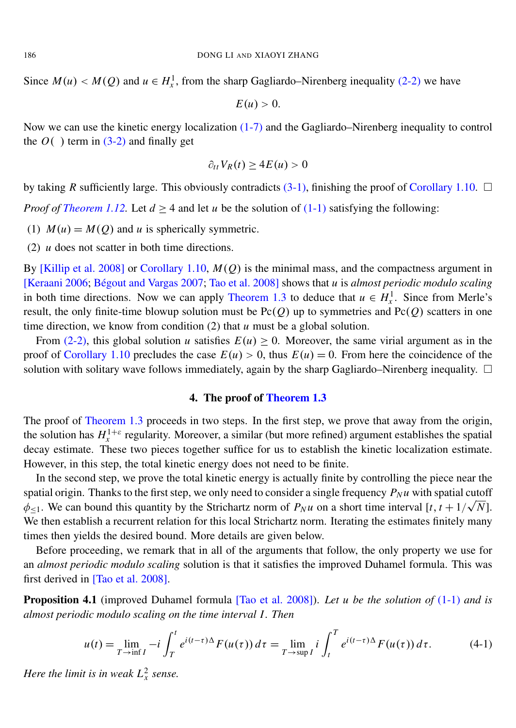Since  $M(u) < M(Q)$  and  $u \in H_x^1$ , from the sharp Gagliardo–Nirenberg inequality [\(2-2\)](#page-9-0) we have

$$
E(u)>0.
$$

Now we can use the kinetic energy localization [\(1-7\)](#page-3-0) and the Gagliardo–Nirenberg inequality to control the  $O($  ) term in  $(3-2)$  and finally get

$$
\partial_{tt} V_R(t) \ge 4E(u) > 0
$$

by taking *R* sufficiently large. This obviously contradicts  $(3-1)$ , finishing the proof of [Corollary 1.10.](#page-5-0)  $\Box$ 

*Proof of [Theorem 1.12.](#page-6-0)* Let  $d \ge 4$  and let *u* be the solution of [\(1-1\)](#page-1-0) satisfying the following:

- (1)  $M(u) = M(Q)$  and *u* is spherically symmetric.
- (2) *u* does not scatter in both time directions.

By [\[Killip et al. 2008\]](#page-21-3) or [Corollary 1.10,](#page-5-0)  $M(Q)$  is the minimal mass, and the compactness argument in [\[Keraani 2006;](#page-21-2) Bégout and Vargas 2007; [Tao et al. 2008\]](#page-21-8) shows that *u* is *almost periodic modulo scaling* in both time directions. Now we can apply [Theorem 1.3](#page-2-0) to deduce that  $u \in H_x^1$ . Since from Merle's result, the only finite-time blowup solution must be  $Pc(O)$  up to symmetries and  $Pc(O)$  scatters in one time direction, we know from condition (2) that *u* must be a global solution.

From [\(2-2\),](#page-9-0) this global solution *u* satisfies  $E(u) \ge 0$ . Moreover, the same virial argument as in the proof of [Corollary 1.10](#page-5-0) precludes the case  $E(u) > 0$ , thus  $E(u) = 0$ . From here the coincidence of the solution with solitary wave follows immediately, again by the sharp Gagliardo–Nirenberg inequality.  $\Box$ 

#### 4. The proof of [Theorem 1.3](#page-2-0)

The proof of [Theorem 1.3](#page-2-0) proceeds in two steps. In the first step, we prove that away from the origin, the solution has  $H_x^{1+\varepsilon}$  regularity. Moreover, a similar (but more refined) argument establishes the spatial decay estimate. These two pieces together suffice for us to establish the kinetic localization estimate. However, in this step, the total kinetic energy does not need to be finite.

In the second step, we prove the total kinetic energy is actually finite by controlling the piece near the spatial origin. Thanks to the first step, we only need to consider a single frequency  $P_N u$  with spatial cutoff  $\phi_{\leq 1}$ . We can bound this quantity by the Strichartz norm of  $P_N u$  on a short time interval  $[t, t + 1/\sqrt{N}]$ . We then establish a recurrent relation for this local Strichartz norm. Iterating the estimates finitely many times then yields the desired bound. More details are given below.

Before proceeding, we remark that in all of the arguments that follow, the only property we use for an *almost periodic modulo scaling* solution is that it satisfies the improved Duhamel formula. This was first derived in [\[Tao et al. 2008\]](#page-21-8).

Proposition 4.1 (improved Duhamel formula [\[Tao et al. 2008\]](#page-21-8)). *Let u be the solution of* [\(1-1\)](#page-1-0) *and is almost periodic modulo scaling on the time interval I . Then*

<span id="page-12-0"></span>
$$
u(t) = \lim_{T \to \inf I} -i \int_T^t e^{i(t-\tau)\Delta} F(u(\tau)) d\tau = \lim_{T \to \sup I} i \int_t^T e^{i(t-\tau)\Delta} F(u(\tau)) d\tau.
$$
 (4-1)

*Here the limit is in weak*  $L_x^2$  *sense.*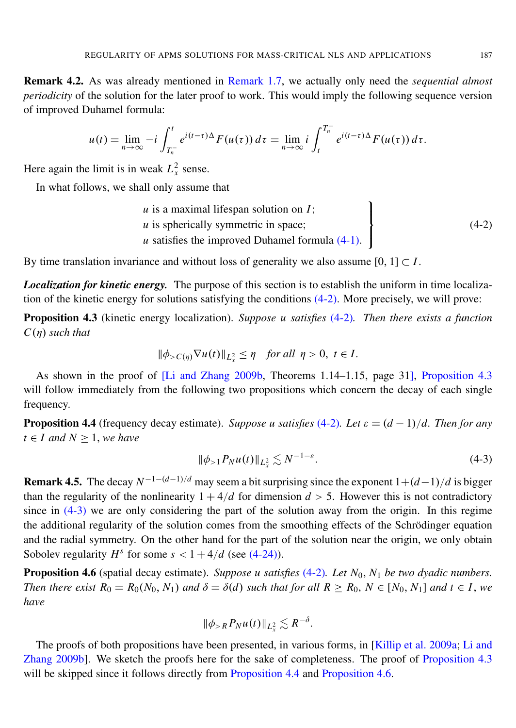Remark 4.2. As was already mentioned in [Remark 1.7,](#page-3-1) we actually only need the *sequential almost periodicity* of the solution for the later proof to work. This would imply the following sequence version of improved Duhamel formula:

$$
u(t) = \lim_{n \to \infty} -i \int_{T_n^-}^t e^{i(t-\tau)\Delta} F(u(\tau)) d\tau = \lim_{n \to \infty} i \int_t^{T_n^+} e^{i(t-\tau)\Delta} F(u(\tau)) d\tau.
$$

Here again the limit is in weak  $L_x^2$  sense.

In what follows, we shall only assume that

<span id="page-13-2"></span>*u* is a maximal lifespan solution on *I*; *u* is spherically symmetric in space;  *satisfies the improved Duhamel formula*  $(4-1)$ *.*  $\mathbf{I}$  $\mathsf{l}$  $\int$  $(4-2)$ 

By time translation invariance and without loss of generality we also assume  $[0, 1] \subset I$ .

*Localization for kinetic energy.* The purpose of this section is to establish the uniform in time localization of the kinetic energy for solutions satisfying the conditions [\(4-2\).](#page-13-2) More precisely, we will prove:

<span id="page-13-3"></span>Proposition 4.3 (kinetic energy localization). *Suppose u satisfies* [\(4-2\)](#page-13-2)*. Then there exists a function C*(η) *such that*

$$
\|\phi_{>C(\eta)}\nabla u(t)\|_{L^2_x} \leq \eta \quad \text{for all } \eta > 0, \ t \in I.
$$

As shown in the proof of [\[Li and Zhang 2009b,](#page-21-6) Theorems 1.14–1.15, page 31], [Proposition 4.3](#page-13-3) will follow immediately from the following two propositions which concern the decay of each single frequency.

<span id="page-13-0"></span>**Proposition 4.4** (frequency decay estimate). *Suppose u satisfies* [\(4-2\)](#page-13-2). Let  $\varepsilon = (d-1)/d$ . Then for any *t* ∈ *I* and  $N \ge 1$ , *we have* 

<span id="page-13-4"></span>
$$
\|\phi_{>1} P_N u(t)\|_{L^2_x} \lesssim N^{-1-\varepsilon}.
$$
\n(4-3)

**Remark 4.5.** The decay  $N^{-1-(d-1)/d}$  may seem a bit surprising since the exponent  $1+(d-1)/d$  is bigger than the regularity of the nonlinearity  $1 + 4/d$  for dimension  $d > 5$ . However this is not contradictory since in  $(4-3)$  we are only considering the part of the solution away from the origin. In this regime the additional regularity of the solution comes from the smoothing effects of the Schrodinger equation ¨ and the radial symmetry. On the other hand for the part of the solution near the origin, we only obtain Sobolev regularity  $H^s$  for some  $s < 1 + 4/d$  (see [\(4-24\)\)](#page-19-0).

<span id="page-13-1"></span>Proposition 4.6 (spatial decay estimate). *Suppose u satisfies* [\(4-2\)](#page-13-2)*. Let N*0, *N*<sup>1</sup> *be two dyadic numbers. Then there exist*  $R_0 = R_0(N_0, N_1)$  *and*  $\delta = \delta(d)$  *such that for all*  $R \ge R_0$ ,  $N \in [N_0, N_1]$  *and*  $t \in I$ , *we have*

$$
\|\phi_{>R} P_N u(t)\|_{L^2_x} \lesssim R^{-\delta}.
$$

The proofs of both propositions have been presented, in various forms, in [\[Killip et al. 2009a;](#page-21-4) [Li and](#page-21-6) [Zhang 2009b\]](#page-21-6). We sketch the proofs here for the sake of completeness. The proof of [Proposition 4.3](#page-13-3) will be skipped since it follows directly from [Proposition 4.4](#page-13-0) and [Proposition 4.6.](#page-13-1)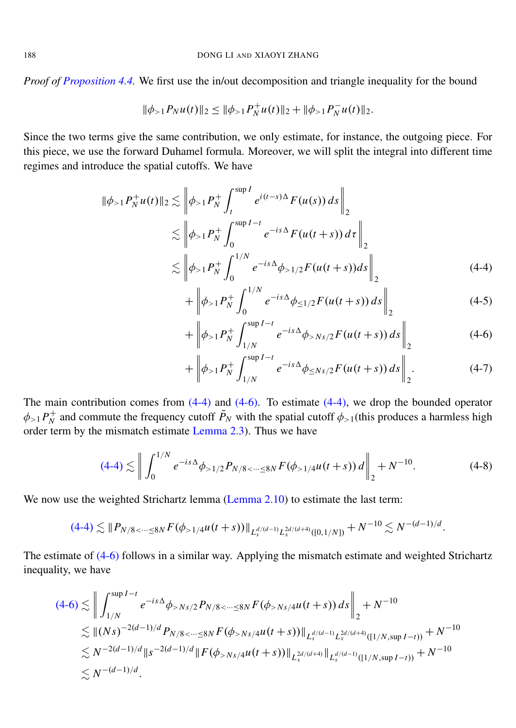*Proof of [Proposition 4.4.](#page-13-0)* We first use the in/out decomposition and triangle inequality for the bound

$$
\|\phi_{>1} P_N u(t)\|_2 \le \|\phi_{>1} P_N^+ u(t)\|_2 + \|\phi_{>1} P_N^- u(t)\|_2.
$$

Since the two terms give the same contribution, we only estimate, for instance, the outgoing piece. For this piece, we use the forward Duhamel formula. Moreover, we will split the integral into different time regimes and introduce the spatial cutoffs. We have

$$
\|\phi_{>1}P_N^+u(t)\|_2 \lesssim \left\|\phi_{>1}P_N^+\int_t^{\sup I} e^{i(t-s)\Delta}F(u(s))\,ds\right\|_2
$$
  

$$
\lesssim \left\|\phi_{>1}P_N^+\int_0^{\sup I-t} e^{-is\Delta}F(u(t+s))\,dt\right\|_2
$$
  

$$
\lesssim \left\|\phi_{>1}P_N^+\int_0^{1/N} e^{-is\Delta}\phi_{>1/2}F(u(t+s))\,ds\right\|_2
$$
 (4-4)

<span id="page-14-3"></span><span id="page-14-0"></span>
$$
+\left\|\phi_{>1}P_N^+\int_0^{1/N}e^{-is\Delta}\phi_{\leq 1/2}F(u(t+s))\,ds\right\|_2\tag{4-5}
$$

<span id="page-14-1"></span>
$$
+\left\|\phi_{>1}P_N^+\int_{1/N}^{\sup I-t}e^{-is\Delta}\phi_{>Ns/2}F(u(t+s))\,ds\right\|_2\tag{4-6}
$$

<span id="page-14-2"></span>
$$
+\left\|\phi_{>1}P_N^+\int_{1/N}^{\sup I-t}e^{-is\Delta}\phi_{\leq Ns/2}F(u(t+s))\,ds\right\|_2.\tag{4-7}
$$

The main contribution comes from  $(4-4)$  and  $(4-6)$ . To estimate  $(4-4)$ , we drop the bounded operator  $\phi_{>1}P_N^+$ <sup>+</sup> and commute the frequency cutoff  $\tilde{P}_N$  with the spatial cutoff  $\phi_{>1}$ (this produces a harmless high order term by the mismatch estimate [Lemma 2.3\)](#page-8-1). Thus we have

$$
(4-4) \lesssim \left\| \int_0^{1/N} e^{-is\Delta} \phi_{>1/2} P_{N/8 < \dots \le 8N} F(\phi_{>1/4} u(t+s)) d \right\|_2 + N^{-10}.
$$
 (4-8)

We now use the weighted Strichartz lemma [\(Lemma 2.10\)](#page-10-0) to estimate the last term:

$$
(4-4) \lesssim \| P_{N/8 < \dots \leq 8N} F(\phi_{> 1/4} u(t+s)) \|_{L_s^{d/(d-1)} L_x^{2d/(d+4)}([0,1/N])} + N^{-10} \lesssim N^{-(d-1)/d}.
$$

The estimate of [\(4-6\)](#page-14-1) follows in a similar way. Applying the mismatch estimate and weighted Strichartz inequality, we have

$$
(4-6) \lesssim \left\| \int_{1/N}^{\sup I - t} e^{-is\Delta} \phi_{>Ns/2} P_{N/8 < \dots \le 8N} F(\phi_{>Ns/4} u(t+s)) ds \right\|_{2} + N^{-10}
$$
  
\n
$$
\lesssim \|(Ns)^{-2(d-1)/d} P_{N/8 < \dots \le 8N} F(\phi_{>Ns/4} u(t+s)) \|_{L_x^{d/(d-1)} L_x^{2d/(d+4)}([1/N, \sup I - t))} + N^{-10}
$$
  
\n
$$
\lesssim N^{-2(d-1)/d} \|s^{-2(d-1)/d} \| F(\phi_{>Ns/4} u(t+s)) \|_{L_x^{2d/(d+4)}} \|_{L_y^{d/(d-1)}([1/N, \sup I - t))} + N^{-10}
$$
  
\n
$$
\lesssim N^{-(d-1)/d}.
$$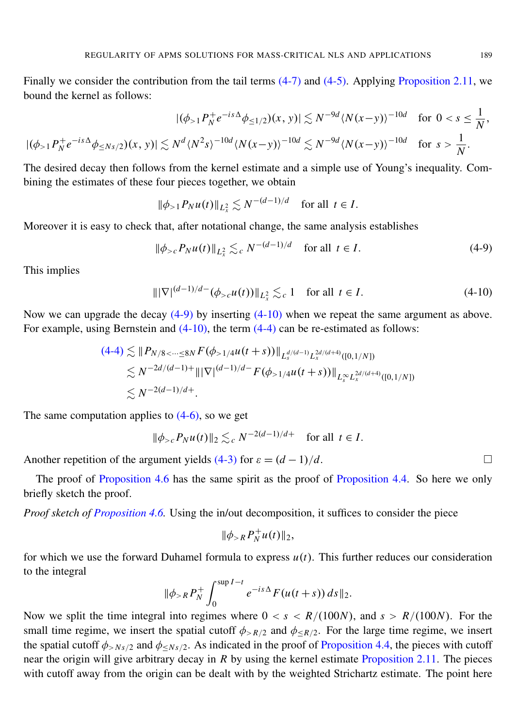Finally we consider the contribution from the tail terms [\(4-7\)](#page-14-2) and [\(4-5\).](#page-14-3) Applying [Proposition 2.11,](#page-10-1) we bound the kernel as follows:

$$
|(\phi_{>1}P_N^+e^{-is\Delta}\phi_{\leq 1/2})(x,y)| \lesssim N^{-9d} \langle N(x-y) \rangle^{-10d} \text{ for } 0 < s \leq \frac{1}{N},
$$
  

$$
|(\phi_{>1}P_N^+e^{-is\Delta}\phi_{\leq Ns/2})(x,y)| \lesssim N^d \langle N^2s \rangle^{-10d} \langle N(x-y) \rangle^{-10d} \lesssim N^{-9d} \langle N(x-y) \rangle^{-10d} \text{ for } s > \frac{1}{N}.
$$

The desired decay then follows from the kernel estimate and a simple use of Young's inequality. Combining the estimates of these four pieces together, we obtain

$$
\|\phi_{>1} P_N u(t)\|_{L^2_x} \lesssim N^{-(d-1)/d} \quad \text{for all } t \in I.
$$

Moreover it is easy to check that, after notational change, the same analysis establishes

$$
\|\phi_{>c} P_N u(t)\|_{L^2_x} \lesssim_c N^{-(d-1)/d} \quad \text{for all } t \in I.
$$
 (4-9)

This implies

 $|||\nabla|^{(d-1)/d}$ <sup>−</sup> (φ<sub>>*c*</sub>*u*(*t*))∥<sub>*L*<sup>2</sup></sub> ≤<sub>*c*</sub> 1 for all *t* ∈ *I*. (4-10)

Now we can upgrade the decay [\(4-9\)](#page-15-0) by inserting [\(4-10\)](#page-15-1) when we repeat the same argument as above. For example, using Bernstein and  $(4-10)$ , the term  $(4-4)$  can be re-estimated as follows:

$$
(4-4) \lesssim ||P_{N/8 < \dots \le 8N} F(\phi_{> 1/4} u(t+s))||_{L_s^{d/(d-1)} L_x^{2d/(d+4)}([0,1/N])}
$$
  
\n
$$
\lesssim N^{-2d/(d-1)+} |||\nabla|^{(d-1)/d} F(\phi_{> 1/4} u(t+s))||_{L_s^{\infty} L_x^{2d/(d+4)}([0,1/N])}
$$
  
\n
$$
\lesssim N^{-2(d-1)/d+}.
$$

The same computation applies to  $(4-6)$ , so we get

$$
\|\phi_{>c} P_N u(t)\|_2 \lesssim_c N^{-2(d-1)/d+}
$$
 for all  $t \in I$ .

Another repetition of the argument yields [\(4-3\)](#page-13-4) for  $\varepsilon = (d-1)/d$ .

The proof of [Proposition 4.6](#page-13-1) has the same spirit as the proof of [Proposition 4.4.](#page-13-0) So here we only briefly sketch the proof.

*Proof sketch of [Proposition 4.6.](#page-13-1)* Using the in/out decomposition, it suffices to consider the piece

$$
\|\phi_{>R} P_N^+ u(t)\|_2,
$$

for which we use the forward Duhamel formula to express *u*(*t*). This further reduces our consideration to the integral

$$
\|\phi_{>R} P_N^+\int_0^{\sup I-t} e^{-is\Delta} F(u(t+s)) ds\|_2.
$$

Now we split the time integral into regimes where  $0 < s < R/(100N)$ , and  $s > R/(100N)$ . For the small time regime, we insert the spatial cutoff  $\phi_{>R/2}$  and  $\phi_{\leq R/2}$ . For the large time regime, we insert the spatial cutoff  $\phi_{>Ns/2}$  and  $\phi_{. As indicated in the proof of [Proposition 4.4,](#page-13-0) the pieces with cutoff$ near the origin will give arbitrary decay in *R* by using the kernel estimate [Proposition 2.11.](#page-10-1) The pieces with cutoff away from the origin can be dealt with by the weighted Strichartz estimate. The point here

<span id="page-15-1"></span><span id="page-15-0"></span>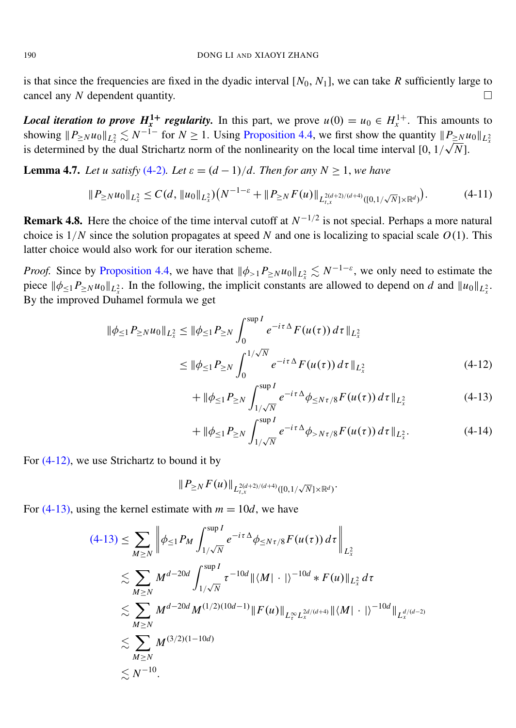is that since the frequencies are fixed in the dyadic interval  $[N_0, N_1]$ , we can take  $R$  sufficiently large to cancel any *N* dependent quantity.

*Local iteration to prove*  $H_x^1$  *regularity.* In this part, we prove  $u(0) = u_0 \in H_x^{1+}$ . This amounts to showing  $||P_{\geq N}u_0||_{L_x^2} \lesssim N^{-1}$  for  $N \ge 1$ . Using [Proposition 4.4,](#page-13-0) we first show the quantity  $||P_{\geq N}u_0||_{L_x^2}$ is determined by the dual Strichartz norm of the nonlinearity on the local time interval [0,  $1/\sqrt{N}$ ].

<span id="page-16-3"></span>**Lemma 4.7.** Let u satisfy [\(4-2\)](#page-13-2). Let  $\varepsilon = (d-1)/d$ . Then for any  $N \ge 1$ , we have

$$
\|P_{\geq N}u_0\|_{L^2_x} \leq C(d, \|u_0\|_{L^2_x})\left(N^{-1-\varepsilon} + \|P_{\geq N}F(u)\|_{L^{2(d+2)/(d+4)}_{t,x}([0,1/\sqrt{N}]\times\mathbb{R}^d)}\right). \tag{4-11}
$$

**Remark 4.8.** Here the choice of the time interval cutoff at  $N^{-1/2}$  is not special. Perhaps a more natural choice is  $1/N$  since the solution propagates at speed N and one is localizing to spacial scale  $O(1)$ . This latter choice would also work for our iteration scheme.

*Proof.* Since by [Proposition 4.4,](#page-13-0) we have that  $\|\phi_{>1}P_{\geq N}u_0\|_{L_x^2} \lesssim N^{-1-\varepsilon}$ , we only need to estimate the piece  $\|\phi_{\leq 1}P_{\geq N}u_0\|_{L_x^2}$ . In the following, the implicit constants are allowed to depend on *d* and  $\|u_0\|_{L_x^2}$ . By the improved Duhamel formula we get

$$
\|\phi_{\leq 1} P_{\geq N} u_0\|_{L_x^2} \leq \|\phi_{\leq 1} P_{\geq N} \int_0^{\sup I} e^{-i\tau \Delta} F(u(\tau)) d\tau\|_{L_x^2}
$$
  

$$
\leq \|\phi_{\leq 1} P_{\geq N} \int_0^{1/\sqrt{N}} e^{-i\tau \Delta} F(u(\tau)) d\tau\|_{L_x^2}
$$
 (4-12)

<span id="page-16-1"></span><span id="page-16-0"></span>
$$
+ \| \phi_{\leq 1} P_{\geq N} \int_{1/\sqrt{N}}^{\sup I} e^{-i\tau \Delta} \phi_{\leq N\tau/8} F(u(\tau)) d\tau \|_{L^2_x}
$$
 (4-13)

<span id="page-16-2"></span>
$$
+ \| \phi_{\leq 1} P_{\geq N} \int_{1/\sqrt{N}}^{\sup I} e^{-i\tau \Delta} \phi_{>N\tau/8} F(u(\tau)) d\tau \|_{L^2_x}.
$$
 (4-14)

For [\(4-12\),](#page-16-0) we use Strichartz to bound it by

$$
\|P_{\geq N} F(u)\|_{L^{2(d+2)/(d+4)}_{t,x}([0,1/\sqrt{N}]\times {\mathbb R}^d)}.
$$

For  $(4-13)$ , using the kernel estimate with  $m = 10d$ , we have

$$
(4-13) \leq \sum_{M\geq N} \left\| \phi_{\leq 1} P_M \int_{1/\sqrt{N}}^{\sup I} e^{-i\tau \Delta} \phi_{\leq N\tau/8} F(u(\tau)) d\tau \right\|_{L^2_x}
$$
  
\n
$$
\lesssim \sum_{M\geq N} M^{d-20d} \int_{1/\sqrt{N}}^{\sup I} \tau^{-10d} \| \langle M | \cdot | \rangle^{-10d} * F(u) \|_{L^2_x} d\tau
$$
  
\n
$$
\lesssim \sum_{M\geq N} M^{d-20d} M^{(1/2)(10d-1)} \| F(u) \|_{L^\infty_t L^{2d/(d+4)}} \| \langle M | \cdot | \rangle^{-10d} \|_{L^{d/(d-2)}}
$$
  
\n
$$
\lesssim \sum_{M\geq N} M^{(3/2)(1-10d)}
$$
  
\n
$$
\lesssim N^{-10}.
$$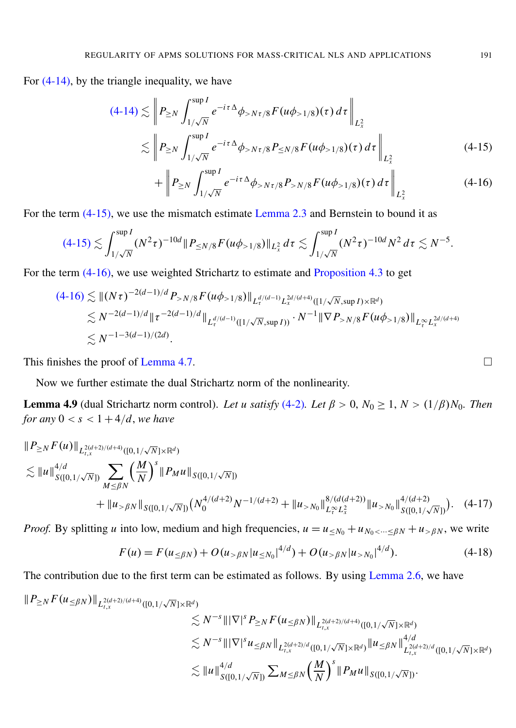For  $(4-14)$ , by the triangle inequality, we have

$$
(4-14) \lesssim \left\| P_{\geq N} \int_{1/\sqrt{N}}^{\sup I} e^{-i\tau \Delta} \phi_{> N\tau/8} F(u\phi_{>1/8})(\tau) d\tau \right\|_{L_x^2}
$$
  

$$
\lesssim \left\| P_{\geq N} \int_{1/\sqrt{N}}^{\sup I} e^{-i\tau \Delta} \phi_{> N\tau/8} P_{\leq N/8} F(u\phi_{>1/8})(\tau) d\tau \right\|_{L_x^2}
$$
(4-15)  

$$
\left\| P_{\geq N} \int_{1/\sqrt{N}}^{\sup I} e^{-i\tau \Delta} \phi_{> N\tau/8} P_{\leq N/8} F(u\phi_{>1/8})(\tau) d\tau \right\|_{L_x^2}
$$

$$
+\left\|P_{\geq N}\int_{1/\sqrt{N}}^{sup P} e^{-i\tau\Delta}\phi_{>N\tau/8}P_{>N/8}F(u\phi_{>1/8})(\tau)\,d\tau\right\|_{L_x^2}
$$
(4-16)

For the term [\(4-15\),](#page-17-0) we use the mismatch estimate [Lemma 2.3](#page-8-1) and Bernstein to bound it as

$$
(4-15) \lesssim \int_{1/\sqrt{N}}^{\sup I} (N^2 \tau)^{-10d} \|P_{\leq N/8} F(u\phi_{>1/8})\|_{L_x^2} d\tau \lesssim \int_{1/\sqrt{N}}^{\sup I} (N^2 \tau)^{-10d} N^2 d\tau \lesssim N^{-5}.
$$

For the term [\(4-16\),](#page-17-1) we use weighted Strichartz to estimate and [Proposition 4.3](#page-13-3) to get

$$
(4-16) \lesssim ||(N\tau)^{-2(d-1)/d} P_{>N/8} F(u\phi_{>1/8})||_{L_{\tau}^{d/(d-1)} L_{x}^{2d/(d+4)}([1/\sqrt{N}, \sup I) \times \mathbb{R}^{d})}
$$
  
\n
$$
\lesssim N^{-2(d-1)/d} ||\tau^{-2(d-1)/d} ||_{L_{\tau}^{d/(d-1)}([1/\sqrt{N}, \sup I))} \cdot N^{-1} ||\nabla P_{>N/8} F(u\phi_{>1/8})||_{L_{\tau}^{\infty} L_{x}^{2d/(d+4)}}
$$
  
\n
$$
\lesssim N^{-1-3(d-1)/(2d)}.
$$

This finishes the proof of [Lemma 4.7.](#page-16-3)

Now we further estimate the dual Strichartz norm of the nonlinearity.

<span id="page-17-4"></span>**Lemma 4.9** (dual Strichartz norm control). Let u satisfy [\(4-2\)](#page-13-2). Let  $\beta > 0$ ,  $N_0 \ge 1$ ,  $N > (1/\beta)N_0$ . Then *for any*  $0 < s < 1 + 4/d$ *, we have* 

$$
\|P_{\geq N} F(u)\|_{L_{t,x}^{2(d+2)/(d+4)}([0,1/\sqrt{N}]\times\mathbb{R}^d)}\n\lesssim \|u\|_{S([0,1/\sqrt{N}])}^{4/d} \sum_{M\leq \beta N} \left(\frac{M}{N}\right)^s \|P_M u\|_{S([0,1/\sqrt{N}])} \n+ \|u_{> \beta N}\|_{S([0,1/\sqrt{N}])} \left(N_0^{4/(d+2)} N^{-1/(d+2)} + \|u_{> N_0}\|_{L_{t}^{\infty} L_{x}^{2}}^{8/(d(d+2))} \|u_{> N_0}\|_{S([0,1/\sqrt{N}])}^{4/(d+2)}\right). (4-17)
$$

*Proof.* By splitting *u* into low, medium and high frequencies,  $u = u_{\leq N_0} + u_{N_0 \leq \cdots \leq \beta N} + u_{\geq \beta N}$ , we write

$$
F(u) = F(u_{\leq \beta N}) + O(u_{> \beta N} |u_{\leq N_0}|^{4/d}) + O(u_{> \beta N} |u_{> N_0}|^{4/d}).
$$
\n(4-18)

The contribution due to the first term can be estimated as follows. By using [Lemma 2.6,](#page-9-1) we have

$$
\| P_{\geq N} F(u_{\leq \beta N}) \|_{L_{t,x}^{2(d+2)/(d+4)}([0,1/\sqrt{N}]\times \mathbb{R}^d)} \leq N^{-s} \| |\nabla|^s P_{\geq N} F(u_{\leq \beta N}) \|_{L_{t,x}^{2(d+2)/(d+4)}([0,1/\sqrt{N}]\times \mathbb{R}^d)} \n\lesssim N^{-s} \| |\nabla|^s u_{\leq \beta N} \|_{L_{t,x}^{2(d+2)/d}([0,1/\sqrt{N}]\times \mathbb{R}^d)} \| u_{\leq \beta N} \|_{L_{t,x}^{2(d+2)/d}([0,1/\sqrt{N}]\times \mathbb{R}^d)}^{4/d} \n\lesssim \| u \|_{S([0,1/\sqrt{N}])}^{4/d} \sum_{M \leq \beta N} \left( \frac{M}{N} \right)^s \| P_M u \|_{S([0,1/\sqrt{N}])}.
$$

<span id="page-17-3"></span><span id="page-17-2"></span><span id="page-17-1"></span><span id="page-17-0"></span>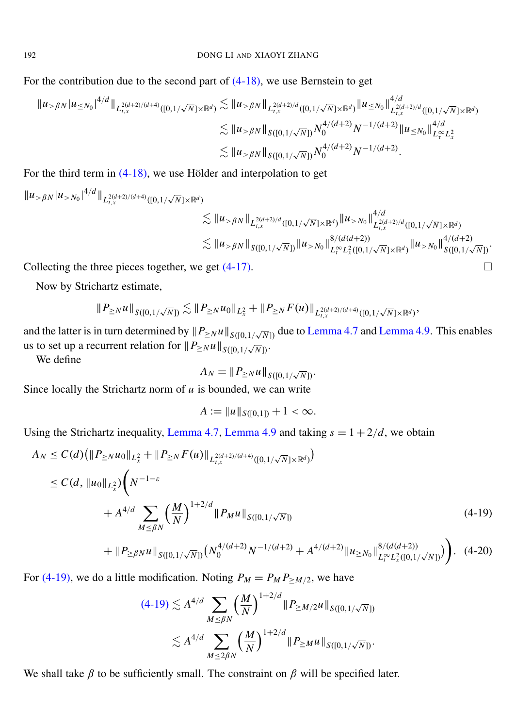For the contribution due to the second part of [\(4-18\),](#page-17-2) we use Bernstein to get

$$
\|u_{> \beta N}| u_{\leq N_0}|^{4/d} \|_{L_{t,x}^{2(d+2)/(d+4)}([0,1/\sqrt{N}] \times \mathbb{R}^d)} \lesssim \|u_{> \beta N}\|_{L_{t,x}^{2(d+2)/d}([0,1/\sqrt{N}] \times \mathbb{R}^d)} \|u_{\leq N_0}\|_{L_{t,x}^{2(d+2)/d}([0,1/\sqrt{N}] \times \mathbb{R}^d)}^{4/d}
$$
  

$$
\lesssim \|u_{> \beta N}\|_{S([0,1/\sqrt{N}])} N_0^{4/(d+2)} N^{-1/(d+2)} \|u_{\leq N_0}\|_{L_r^\infty L_x^2}^{4/d}
$$
  

$$
\lesssim \|u_{> \beta N}\|_{S([0,1/\sqrt{N}])} N_0^{4/(d+2)} N^{-1/(d+2)}.
$$

For the third term in  $(4-18)$ , we use Hölder and interpolation to get

$$
\|u_{> \beta N}|u_{> N_0}|^{4/d} \|_{L^{2(d+2)/(d+4)}_{t,x}([0,1/\sqrt{N}]\times \mathbb{R}^d)} \lesssim \|u_{> \beta N}\|_{L^{2(d+2)/d}_{t,x}([0,1/\sqrt{N}]\times \mathbb{R}^d)} \|u_{> N_0}\|_{L^{2(d+2)/d}_{t,x}([0,1/\sqrt{N}]\times \mathbb{R}^d)}^{4/d} \lesssim \|u_{> \beta N}\|_{S([0,1/\sqrt{N}])} \|u_{> N_0}\|_{L^\infty_t L^2_x([0,1/\sqrt{N}]\times \mathbb{R}^d)}^{4/(d+2)} \|u_{> N_0}\|_{S([0,1/\sqrt{N}])}^{4/(d+2)}.
$$

Collecting the three pieces together, we get  $(4-17)$ .

Now by Strichartz estimate,

$$
\|P_{\geq N} u\|_{S([0,1/\sqrt{N}])} \lesssim \|P_{\geq N} u_0\|_{L^2_x} + \|P_{\geq N} F(u)\|_{L^{2(d+2)/(d+4)}_{t,x}([0,1/\sqrt{N}]\times \mathbb{R}^d)},
$$

and the latter is in turn determined by  $||P_{\geq N}u||_{S([0,1/\sqrt{N}])}$  due to [Lemma 4.7](#page-16-3) and [Lemma 4.9.](#page-17-4) This enables us to set up a recurrent relation for  $||P_{\geq N}u||_{S([0,1/\sqrt{N}])}$ .

We define

$$
A_N = \|P_{\geq N} u\|_{S([0,1/\sqrt{N}])}.
$$

Since locally the Strichartz norm of *u* is bounded, we can write

<span id="page-18-1"></span><span id="page-18-0"></span>
$$
A := \|u\|_{S([0,1])} + 1 < \infty.
$$

Using the Strichartz inequality, [Lemma 4.7,](#page-16-3) [Lemma 4.9](#page-17-4) and taking  $s = 1 + \frac{2}{d}$ , we obtain

$$
A_N \leq C(d) \left( \| P_{\geq N} u_0 \|_{L_x^2} + \| P_{\geq N} F(u) \|_{L_{t,x}^{2(d+2)/(d+4)}([0,1/\sqrt{N}] \times \mathbb{R}^d)} \right)
$$
  
\n
$$
\leq C(d, \| u_0 \|_{L_x^2} \left( N^{-1-\varepsilon} + A^{4/d} \sum_{M \leq \beta N} \left( \frac{M}{N} \right)^{1+2/d} \| P_M u \|_{S([0,1/\sqrt{N}])} \right)
$$
  
\n(4-19)

$$
+ \| P_{\geq \beta N} u \|_{S([0,1/\sqrt{N}])} \big( N_0^{4/(d+2)} N^{-1/(d+2)} + A^{4/(d+2)} \| u_{\geq N_0} \|_{L_t^\infty L_x^2([0,1/\sqrt{N}])}^{8/(d(d+2))} \big) \Big). \tag{4-20}
$$

For [\(4-19\),](#page-18-0) we do a little modification. Noting  $P_M = P_M P_{\geq M/2}$ , we have

$$
(4-19) \lesssim A^{4/d} \sum_{M \leq \beta N} \left(\frac{M}{N}\right)^{1+2/d} \|P_{\geq M/2}u\|_{S([0,1/\sqrt{N}])}
$$
  

$$
\lesssim A^{4/d} \sum_{M \leq 2\beta N} \left(\frac{M}{N}\right)^{1+2/d} \|P_{\geq M}u\|_{S([0,1/\sqrt{N}])}.
$$

We shall take  $\beta$  to be sufficiently small. The constraint on  $\beta$  will be specified later.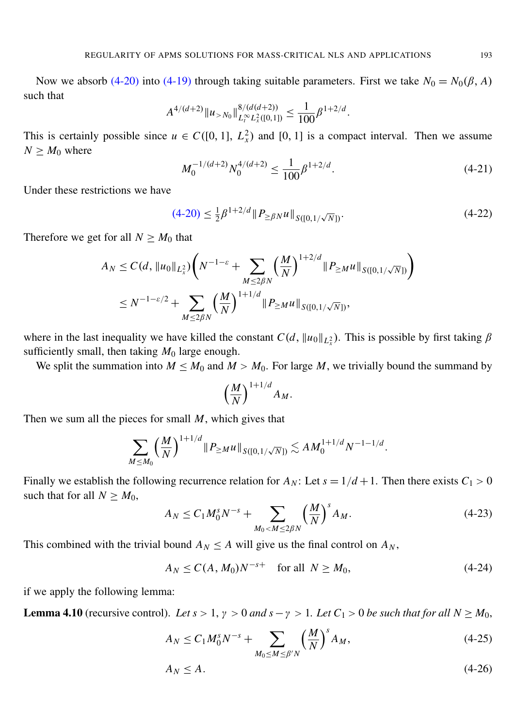Now we absorb [\(4-20\)](#page-18-1) into [\(4-19\)](#page-18-0) through taking suitable parameters. First we take  $N_0 = N_0(\beta, A)$ such that

$$
A^{4/(d+2)} \|u_{>N_0}\|_{L_t^\infty L_x^2([0,1])}^{8/(d(d+2))} \leq \frac{1}{100} \beta^{1+2/d}.
$$

This is certainly possible since  $u \in C([0, 1], L_x^2)$  and  $[0, 1]$  is a compact interval. Then we assume  $N \geq M_0$  where

$$
M_0^{-1/(d+2)} N_0^{4/(d+2)} \le \frac{1}{100} \beta^{1+2/d}.
$$
 (4-21)

Under these restrictions we have

$$
(4-20) \le \frac{1}{2}\beta^{1+2/d} \|P_{\geq \beta N} u\|_{S([0,1/\sqrt{N}])}.
$$
\n(4-22)

Therefore we get for all  $N \geq M_0$  that

$$
A_N \le C(d, \|u_0\|_{L^2_x}) \left(N^{-1-\varepsilon} + \sum_{M \le 2\beta N} \left(\frac{M}{N}\right)^{1+2/d} \|P_{\ge M}u\|_{S([0,1/\sqrt{N}])}\right)
$$
  

$$
\le N^{-1-\varepsilon/2} + \sum_{M \le 2\beta N} \left(\frac{M}{N}\right)^{1+1/d} \|P_{\ge M}u\|_{S([0,1/\sqrt{N}])},
$$

where in the last inequality we have killed the constant  $C(d, ||u_0||_{L_x^2})$ . This is possible by first taking  $\beta$ sufficiently small, then taking  $M_0$  large enough.

We split the summation into  $M \leq M_0$  and  $M > M_0$ . For large M, we trivially bound the summand by

<span id="page-19-0"></span>
$$
\left(\frac{M}{N}\right)^{1+1/d}A_M.
$$

Then we sum all the pieces for small *M*, which gives that

$$
\sum_{M\leq M_0} \left(\frac{M}{N}\right)^{1+1/d} \|P_{\geq M}u\|_{S([0,1/\sqrt{N}])} \lesssim AM_0^{1+1/d} N^{-1-1/d}.
$$

Finally we establish the following recurrence relation for  $A_N$ : Let  $s = 1/d + 1$ . Then there exists  $C_1 > 0$ such that for all  $N \geq M_0$ ,

$$
A_N \le C_1 M_0^s N^{-s} + \sum_{M_0 < M \le 2\beta N} \left(\frac{M}{N}\right)^s A_M. \tag{4-23}
$$

This combined with the trivial bound  $A_N \leq A$  will give us the final control on  $A_N$ ,

$$
A_N \le C(A, M_0) N^{-s+} \quad \text{for all } N \ge M_0,\tag{4-24}
$$

if we apply the following lemma:

**Lemma 4.10** (recursive control). Let  $s > 1$ ,  $\gamma > 0$  and  $s - \gamma > 1$ . Let  $C_1 > 0$  be such that for all  $N \ge M_0$ ,

<span id="page-19-2"></span>
$$
A_N \le C_1 M_0^s N^{-s} + \sum_{M_0 \le M \le \beta^{\prime} N} \left(\frac{M}{N}\right)^s A_M,
$$
\n(4-25)

<span id="page-19-1"></span>
$$
A_N \le A. \tag{4-26}
$$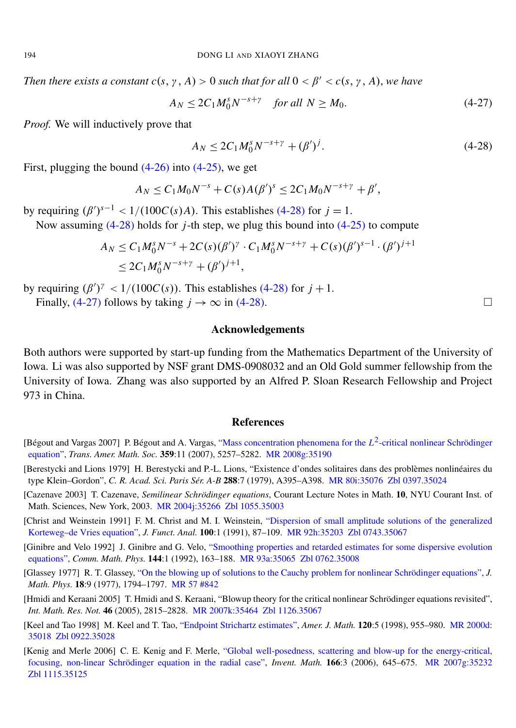*Then there exists a constant*  $c(s, \gamma, A) > 0$  *such that for all*  $0 < \beta' < c(s, \gamma, A)$ *, we have* 

$$
A_N \le 2C_1 M_0^s N^{-s+\gamma} \quad \text{for all } N \ge M_0. \tag{4-27}
$$

*Proof.* We will inductively prove that

<span id="page-20-9"></span>
$$
A_N \le 2C_1 M_0^s N^{-s+\gamma} + (\beta')^j. \tag{4-28}
$$

First, plugging the bound  $(4-26)$  into  $(4-25)$ , we get

$$
A_N \leq C_1 M_0 N^{-s} + C(s) A(\beta')^s \leq 2C_1 M_0 N^{-s+\gamma} + \beta',
$$

by requiring  $(\beta')^{s-1} < 1/(100C(s)A)$ . This establishes [\(4-28\)](#page-20-9) for  $j = 1$ .

Now assuming [\(4-28\)](#page-20-9) holds for *j*-th step, we plug this bound into [\(4-25\)](#page-19-2) to compute

$$
A_N \le C_1 M_0^s N^{-s} + 2C(s)(\beta')^{\gamma} \cdot C_1 M_0^s N^{-s+\gamma} + C(s)(\beta')^{s-1} \cdot (\beta')^{j+1}
$$
  
 
$$
\le 2C_1 M_0^s N^{-s+\gamma} + (\beta')^{j+1},
$$

by requiring  $(\beta')^{\gamma} < 1/(100C(s))$ . This establishes [\(4-28\)](#page-20-9) for  $j + 1$ .

Finally, [\(4-27\)](#page-20-10) follows by taking  $j \to \infty$  in [\(4-28\).](#page-20-9)

#### Acknowledgements

Both authors were supported by start-up funding from the Mathematics Department of the University of Iowa. Li was also supported by NSF grant DMS-0908032 and an Old Gold summer fellowship from the University of Iowa. Zhang was also supported by an Alfred P. Sloan Research Fellowship and Project 973 in China.

#### **References**

- <span id="page-20-2"></span>[Bégout and Vargas 2007] P. Bégout and A. Vargas, ["Mass concentration phenomena for the](http://dx.doi.org/10.1090/S0002-9947-07-04250-X) L<sup>2</sup>-critical nonlinear Schrödinger [equation",](http://dx.doi.org/10.1090/S0002-9947-07-04250-X) *Trans. Amer. Math. Soc.* 359:11 (2007), 5257–5282. [MR 2008g:35190](http://www.ams.org/mathscinet-getitem?mr=2008g:35190)
- <span id="page-20-4"></span>[Berestycki and Lions 1979] H. Berestycki and P.-L. Lions, "Existence d'ondes solitaires dans des problèmes nonlinéaires du type Klein–Gordon", *C. R. Acad. Sci. Paris Sér. A-B* 288:7 (1979), A395–A398. [MR 80i:35076](http://www.ams.org/mathscinet-getitem?mr=80i:35076) [Zbl 0397.35024](http://www.emis.de/cgi-bin/MATH-item?0397.35024)
- <span id="page-20-0"></span>[Cazenave 2003] T. Cazenave, *Semilinear Schrödinger equations*, Courant Lecture Notes in Math. 10, NYU Courant Inst. of Math. Sciences, New York, 2003. [MR 2004j:35266](http://www.ams.org/mathscinet-getitem?mr=2004j:35266) [Zbl 1055.35003](http://www.emis.de/cgi-bin/MATH-item?1055.35003)
- <span id="page-20-6"></span>[Christ and Weinstein 1991] F. M. Christ and M. I. Weinstein, ["Dispersion of small amplitude solutions of the generalized](http://dx.doi.org/10.1016/0022-1236(91)90103-C) [Korteweg–de Vries equation",](http://dx.doi.org/10.1016/0022-1236(91)90103-C) *J. Funct. Anal.* 100:1 (1991), 87–109. [MR 92h:35203](http://www.ams.org/mathscinet-getitem?mr=92h:35203) [Zbl 0743.35067](http://www.emis.de/cgi-bin/MATH-item?0743.35067)
- <span id="page-20-7"></span>[Ginibre and Velo 1992] J. Ginibre and G. Velo, ["Smoothing properties and retarded estimates for some dispersive evolution](http://projecteuclid.org/getRecord?id=euclid.cmp/1104249221) [equations",](http://projecteuclid.org/getRecord?id=euclid.cmp/1104249221) *Comm. Math. Phys.* 144:1 (1992), 163–188. [MR 93a:35065](http://www.ams.org/mathscinet-getitem?mr=93a:35065) [Zbl 0762.35008](http://www.emis.de/cgi-bin/MATH-item?0762.35008)
- <span id="page-20-3"></span>[Glassey 1977] R. T. Glassey, ["On the blowing up of solutions to the Cauchy problem for nonlinear Schrödinger equations",](http://dx.doi.org/10.1063/1.523491) *J. Math. Phys.* 18:9 (1977), 1794–1797. [MR 57 #842](http://www.ams.org/mathscinet-getitem?mr=57:842)
- <span id="page-20-5"></span>[Hmidi and Keraani 2005] T. Hmidi and S. Keraani, "Blowup theory for the critical nonlinear Schrödinger equations revisited", *Int. Math. Res. Not.* 46 (2005), 2815–2828. [MR 2007k:35464](http://www.ams.org/mathscinet-getitem?mr=2007k:35464) [Zbl 1126.35067](http://www.emis.de/cgi-bin/MATH-item?1126.35067)
- <span id="page-20-8"></span>[Keel and Tao 1998] M. Keel and T. Tao, ["Endpoint Strichartz estimates",](http://muse.jhu.edu/journals/american_journal_of_mathematics/v120/120.5keel.pdf) *Amer. J. Math.* 120:5 (1998), 955–980. [MR 2000d:](http://www.ams.org/mathscinet- getitem?mr=2000d:35018) [35018](http://www.ams.org/mathscinet- getitem?mr=2000d:35018) [Zbl 0922.35028](http://www.emis.de/cgi-bin/MATH-item?0922.35028)
- <span id="page-20-1"></span>[Kenig and Merle 2006] C. E. Kenig and F. Merle, ["Global well-posedness, scattering and blow-up for the energy-critical,](http://dx.doi.org/10.1007/s00222-006-0011-4) [focusing, non-linear Schrödinger equation in the radial case",](http://dx.doi.org/10.1007/s00222-006-0011-4) *Invent. Math.* 166:3 (2006), 645–675. [MR 2007g:35232](http://www.ams.org/mathscinet-getitem?mr=2007g:35232) [Zbl 1115.35125](http://www.emis.de/cgi-bin/MATH-item?1115.35125)

<span id="page-20-10"></span>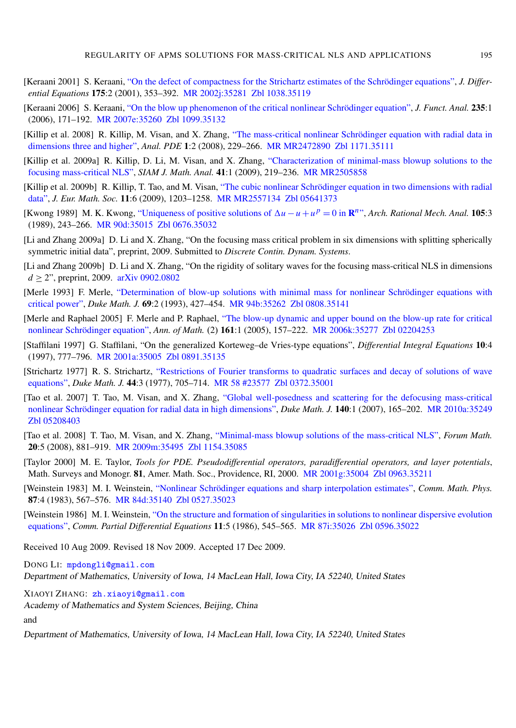- <span id="page-21-1"></span>[Keraani 2001] S. Keraani, ["On the defect of compactness for the Strichartz estimates of the Schrödinger equations",](http://dx.doi.org/10.1006/jdeq.2000.3951) *J. Differential Equations* 175:2 (2001), 353–392. [MR 2002j:35281](http://www.ams.org/mathscinet-getitem?mr=2002j:35281) [Zbl 1038.35119](http://www.emis.de/cgi-bin/MATH-item?1038.35119)
- <span id="page-21-2"></span>[Keraani 2006] S. Keraani, ["On the blow up phenomenon of the critical nonlinear Schrödinger equation",](http://dx.doi.org/10.1016/j.jfa.2005.10.005) *J. Funct. Anal.* 235:1 (2006), 171–192. [MR 2007e:35260](http://www.ams.org/mathscinet-getitem?mr=2007e:35260) [Zbl 1099.35132](http://www.emis.de/cgi-bin/MATH-item?1099.35132)
- <span id="page-21-3"></span>[Killip et al. 2008] R. Killip, M. Visan, and X. Zhang, ["The mass-critical nonlinear Schrödinger equation with radial data in](http://pjm.math.berkeley.edu/apde/2008/1-2/p03.xhtml) [dimensions three and higher",](http://pjm.math.berkeley.edu/apde/2008/1-2/p03.xhtml) *Anal. PDE* 1:2 (2008), 229–266. [MR MR2472890](http://www.ams.org/mathscinet-getitem?mr=MR2472890) [Zbl 1171.35111](http://www.emis.de/cgi-bin/MATH-item?1171.35111)
- <span id="page-21-4"></span>[Killip et al. 2009a] R. Killip, D. Li, M. Visan, and X. Zhang, ["Characterization of minimal-mass blowup solutions to the](http://dx.doi.org/10.1137/080720358) [focusing mass-critical NLS",](http://dx.doi.org/10.1137/080720358) *SIAM J. Math. Anal.* 41:1 (2009), 219–236. [MR MR2505858](http://www.ams.org/mathscinet-getitem?mr=MR2505858)
- <span id="page-21-5"></span>[Killip et al. 2009b] R. Killip, T. Tao, and M. Visan, ["The cubic nonlinear Schrödinger equation in two dimensions with radial](http://dx.doi.org/10.4171/JEMS/180) [data",](http://dx.doi.org/10.4171/JEMS/180) *J. Eur. Math. Soc.* 11:6 (2009), 1203–1258. [MR MR2557134](http://www.ams.org/mathscinet-getitem?mr=MR2557134) [Zbl 05641373](http://www.emis.de/cgi-bin/MATH-item?05641373)
- <span id="page-21-9"></span>[Kwong 1989] M. K. Kwong, ["Uniqueness of positive solutions of](http://dx.doi.org/10.1007/BF00251502)  $\Delta u - u + u^p = 0$  in  $\mathbb{R}^n$ ", *Arch. Rational Mech. Anal.* 105:3 (1989), 243–266. [MR 90d:35015](http://www.ams.org/mathscinet-getitem?mr=90d:35015) [Zbl 0676.35032](http://www.emis.de/cgi-bin/MATH-item?0676.35032)
- <span id="page-21-7"></span>[Li and Zhang 2009a] D. Li and X. Zhang, "On the focusing mass critical problem in six dimensions with splitting spherically symmetric initial data", preprint, 2009. Submitted to *Discrete Contin. Dynam. Systems*.
- <span id="page-21-6"></span>[Li and Zhang 2009b] D. Li and X. Zhang, "On the rigidity of solitary waves for the focusing mass-critical NLS in dimensions *d*  $\geq$  2", preprint, 2009. [arXiv 0902.0802](http://arxiv.org/abs/0902.0802)
- <span id="page-21-0"></span>[Merle 1993] F. Merle, ["Determination of blow-up solutions with minimal mass for nonlinear Schrödinger equations with](http://dx.doi.org/10.1215/S0012-7094-93-06919-0) [critical power",](http://dx.doi.org/10.1215/S0012-7094-93-06919-0) *Duke Math. J.* 69:2 (1993), 427–454. [MR 94b:35262](http://www.ams.org/mathscinet-getitem?mr=94b:35262) [Zbl 0808.35141](http://www.emis.de/cgi-bin/MATH-item?0808.35141)
- <span id="page-21-11"></span>[Merle and Raphael 2005] F. Merle and P. Raphael, ["The blow-up dynamic and upper bound on the blow-up rate for critical](http://dx.doi.org/10.4007/annals.2005.161.157) [nonlinear Schrödinger equation",](http://dx.doi.org/10.4007/annals.2005.161.157) *Ann. of Math.* (2) 161:1 (2005), 157–222. [MR 2006k:35277](http://www.ams.org/mathscinet-getitem?mr=2006k:35277) [Zbl 02204253](http://www.emis.de/cgi-bin/MATH-item?02204253)
- <span id="page-21-13"></span>[Staffilani 1997] G. Staffilani, "On the generalized Korteweg–de Vries-type equations", *Differential Integral Equations* 10:4 (1997), 777–796. [MR 2001a:35005](http://www.ams.org/mathscinet-getitem?mr=2001a:35005) [Zbl 0891.35135](http://www.emis.de/cgi-bin/MATH-item?0891.35135)
- <span id="page-21-16"></span>[Strichartz 1977] R. S. Strichartz, ["Restrictions of Fourier transforms to quadratic surfaces and decay of solutions of wave](http://projecteuclid.org/getRecord?id=euclid.dmj/1077312392) [equations",](http://projecteuclid.org/getRecord?id=euclid.dmj/1077312392) *Duke Math. J.* 44:3 (1977), 705–714. [MR 58 #23577](http://www.ams.org/mathscinet-getitem?mr=58:23577) [Zbl 0372.35001](http://www.emis.de/cgi-bin/MATH-item?0372.35001)
- <span id="page-21-10"></span>[Tao et al. 2007] T. Tao, M. Visan, and X. Zhang, ["Global well-posedness and scattering for the defocusing mass-critical](http://dx.doi.org/10.1215/S0012-7094-07-14015-8) [nonlinear Schrödinger equation for radial data in high dimensions",](http://dx.doi.org/10.1215/S0012-7094-07-14015-8) *Duke Math. J.* 140:1 (2007), 165–202. [MR 2010a:35249](http://www.ams.org/mathscinet-getitem?mr=2010a:35249) [Zbl 05208403](http://www.emis.de/cgi-bin/MATH-item?05208403)
- <span id="page-21-8"></span>[Tao et al. 2008] T. Tao, M. Visan, and X. Zhang, ["Minimal-mass blowup solutions of the mass-critical NLS",](http://dx.doi.org/10.1515/FORUM.2008.042) *Forum Math.* 20:5 (2008), 881–919. [MR 2009m:35495](http://www.ams.org/mathscinet-getitem?mr=2009m:35495) [Zbl 1154.35085](http://www.emis.de/cgi-bin/MATH-item?1154.35085)
- <span id="page-21-14"></span>[Taylor 2000] M. E. Taylor, *Tools for PDE. Pseudodifferential operators, paradifferential operators, and layer potentials*, Math. Surveys and Monogr. 81, Amer. Math. Soc., Providence, RI, 2000. [MR 2001g:35004](http://www.ams.org/mathscinet-getitem?mr=2001g:35004) [Zbl 0963.35211](http://www.emis.de/cgi-bin/MATH-item?0963.35211)
- <span id="page-21-15"></span>[Weinstein 1983] M. I. Weinstein, ["Nonlinear Schrödinger equations and sharp interpolation estimates",](http://projecteuclid.org/getRecord?id=euclid.cmp/1103922134) *Comm. Math. Phys.* 87:4 (1983), 567–576. [MR 84d:35140](http://www.ams.org/mathscinet-getitem?mr=84d:35140) [Zbl 0527.35023](http://www.emis.de/cgi-bin/MATH-item?0527.35023)
- <span id="page-21-12"></span>[Weinstein 1986] M. I. Weinstein, ["On the structure and formation of singularities in solutions to nonlinear dispersive evolution](http://dx.doi.org/10.1080/03605308608820435) [equations",](http://dx.doi.org/10.1080/03605308608820435) *Comm. Partial Differential Equations* 11:5 (1986), 545–565. [MR 87i:35026](http://www.ams.org/mathscinet-getitem?mr=87i:35026) [Zbl 0596.35022](http://www.emis.de/cgi-bin/MATH-item?0596.35022)

Received 10 Aug 2009. Revised 18 Nov 2009. Accepted 17 Dec 2009.

DONG LI: [mpdongli@gmail.com](mailto:mpdongli@gmail.com) Department of Mathematics, University of Iowa, 14 MacLean Hall, Iowa City, IA 52240, United States

XIAOYI ZHANG: [zh.xiaoyi@gmail.com](mailto:zh.xiaoyi@gmail.com)

Academy of Mathematics and System Sciences, Beijing, China

and

Department of Mathematics, University of Iowa, 14 MacLean Hall, Iowa City, IA 52240, United States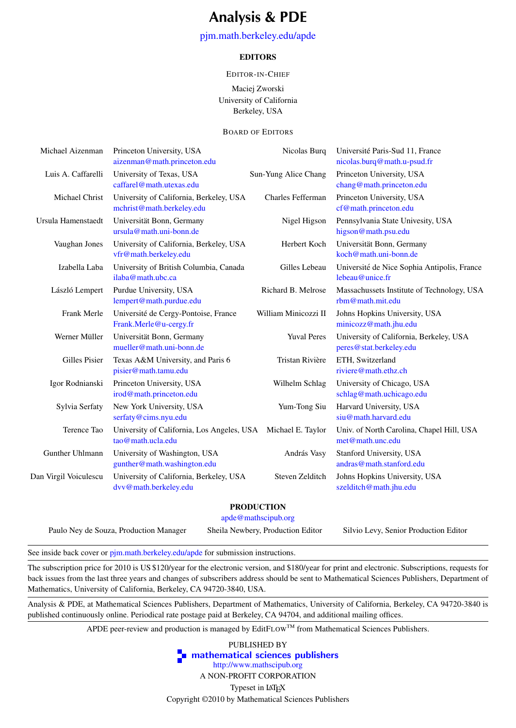## Analysis & PDE

#### [pjm.math.berkeley.edu/apde](http://pjm.math.berkeley.edu/apde)

#### EDITORS

#### EDITOR-IN-CHIEF

Maciej Zworski University of California Berkeley, USA

#### BOARD OF EDITORS

| Michael Aizenman      | Princeton University, USA<br>aizenman@math.princeton.edu             | Nicolas Burq         | Université Paris-Sud 11, France<br>nicolas.burq@math.u-psud.fr     |
|-----------------------|----------------------------------------------------------------------|----------------------|--------------------------------------------------------------------|
| Luis A. Caffarelli    | University of Texas, USA<br>caffarel@math.utexas.edu                 | Sun-Yung Alice Chang | Princeton University, USA<br>chang@math.princeton.edu              |
| Michael Christ        | University of California, Berkeley, USA<br>mchrist@math.berkeley.edu | Charles Fefferman    | Princeton University, USA<br>cf@math.princeton.edu                 |
| Ursula Hamenstaedt    | Universität Bonn, Germany<br>$ursula@math.uni-bonn.de$               | Nigel Higson         | Pennsylvania State Univesity, USA<br>higson@math.psu.edu           |
| Vaughan Jones         | University of California, Berkeley, USA<br>vfr@math.berkeley.edu     | Herbert Koch         | Universität Bonn, Germany<br>koch@math.uni-bonn.de                 |
| Izabella Laba         | University of British Columbia, Canada<br>ilaba@math.ubc.ca          | Gilles Lebeau        | Université de Nice Sophia Antipolis, France<br>lebeau@unice.fr     |
| László Lempert        | Purdue University, USA<br>lempert@math.purdue.edu                    | Richard B. Melrose   | Massachussets Institute of Technology, USA<br>rbm@math.mit.edu     |
| Frank Merle           | Université de Cergy-Pontoise, France<br>Frank.Merle@u-cergy.fr       | William Minicozzi II | Johns Hopkins University, USA<br>minicozz@math.jhu.edu             |
| Werner Müller         | Universität Bonn, Germany<br>mueller@math.uni-bonn.de                | <b>Yuval Peres</b>   | University of California, Berkeley, USA<br>peres@stat.berkeley.edu |
| Gilles Pisier         | Texas A&M University, and Paris 6<br>pisier@math.tamu.edu            | Tristan Rivière      | ETH, Switzerland<br>riviere@math.ethz.ch                           |
| Igor Rodnianski       | Princeton University, USA<br>irod@math.princeton.edu                 | Wilhelm Schlag       | University of Chicago, USA<br>schlag@math.uchicago.edu             |
| Sylvia Serfaty        | New York University, USA<br>serfaty@cims.nyu.edu                     | Yum-Tong Siu         | Harvard University, USA<br>siu@math.harvard.edu                    |
| Terence Tao           | University of California, Los Angeles, USA<br>tao@math.ucla.edu      | Michael E. Taylor    | Univ. of North Carolina, Chapel Hill, USA<br>met@math.unc.edu      |
| Gunther Uhlmann       | University of Washington, USA<br>gunther@math.washington.edu         | András Vasy          | Stanford University, USA<br>andras@math.stanford.edu               |
| Dan Virgil Voiculescu | University of California, Berkeley, USA<br>dvv@math.berkeley.edu     | Steven Zelditch      | Johns Hopkins University, USA<br>szelditch@math.jhu.edu            |
|                       |                                                                      |                      |                                                                    |

#### PRODUCTION

[apde@mathscipub.org](mailto:apde@mathscipub.org)

Paulo Ney de Souza, Production Manager Sheila Newbery, Production Editor Silvio Levy, Senior Production Editor

See inside back cover or [pjm.math.berkeley.edu/apde](http://pjm.math.berkeley.edu/apde) for submission instructions.

The subscription price for 2010 is US \$120/year for the electronic version, and \$180/year for print and electronic. Subscriptions, requests for back issues from the last three years and changes of subscribers address should be sent to Mathematical Sciences Publishers, Department of Mathematics, University of California, Berkeley, CA 94720-3840, USA.

Analysis & PDE, at Mathematical Sciences Publishers, Department of Mathematics, University of California, Berkeley, CA 94720-3840 is published continuously online. Periodical rate postage paid at Berkeley, CA 94704, and additional mailing offices.

APDE peer-review and production is managed by EditFLOW™ from Mathematical Sciences Publishers.

PUBLISHED BY **T** [mathematical sciences publishers](http://www.mathscipub.org) <http://www.mathscipub.org> A NON-PROFIT CORPORATION Typeset in LATEX Copyright ©2010 by Mathematical Sciences Publishers